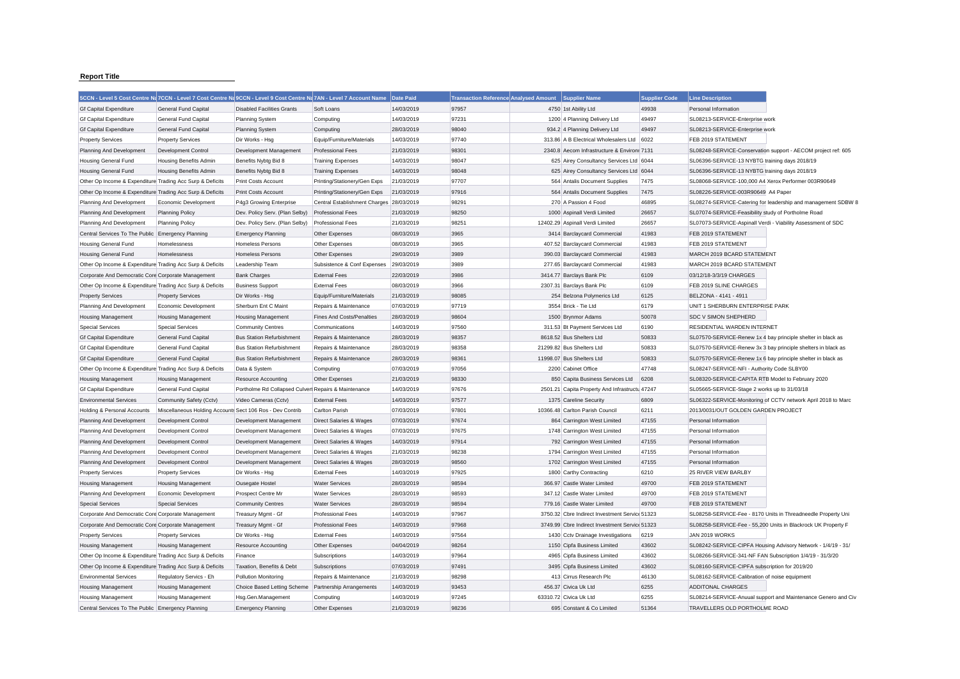## **Report Title**

|                                                           | 5CCN - Level 5 Cost Centre Na7CCN - Level 7 Cost Centre Na9CCN - Level 9 Cost Centre Na7AN - Level 7 Account Name |                                                      |                                          | Date Paid  | <b>Transaction Reference Analysed Amount</b> | <b>Supplier Name</b>                           | <b>Supplier Code</b> | <b>Line Description</b>                                       |                                                               |
|-----------------------------------------------------------|-------------------------------------------------------------------------------------------------------------------|------------------------------------------------------|------------------------------------------|------------|----------------------------------------------|------------------------------------------------|----------------------|---------------------------------------------------------------|---------------------------------------------------------------|
| <b>Gf Capital Expenditure</b>                             | <b>General Fund Capital</b>                                                                                       | <b>Disabled Facilities Grants</b>                    | Soft Loans                               | 14/03/2019 | 97957                                        | 4750 1st Ability Ltd                           | 49938                | Personal Information                                          |                                                               |
| <b>Gf Capital Expenditure</b>                             | General Fund Capital                                                                                              | <b>Planning System</b>                               | Computing                                | 14/03/2019 | 97231                                        | 1200 4 Planning Delivery Ltd                   | 49497                | SL08213-SERVICE-Enterprise work                               |                                                               |
| <b>Gf Capital Expenditure</b>                             | <b>General Fund Capital</b>                                                                                       | <b>Planning System</b>                               | Computing                                | 28/03/2019 | 98040                                        | 934.2 4 Planning Delivery Ltd                  | 49497                | SL08213-SERVICE-Enterprise work                               |                                                               |
| <b>Property Services</b>                                  | <b>Property Services</b>                                                                                          | Dir Works - Hsg                                      | Equip/Furniture/Materials                | 14/03/2019 | 97740                                        | 313.86 A B Electrical Wholesalers Ltd          | 6022                 | FEB 2019 STATEMENT                                            |                                                               |
| Planning And Development                                  | <b>Development Control</b>                                                                                        | Development Management                               | <b>Professional Fees</b>                 | 21/03/2019 | 98301                                        | 2340.8 Aecom Infrastructure & Environr 7131    |                      |                                                               | SL08248-SERVICE-Conservation support - AECOM project ref: 605 |
| <b>Housing General Fund</b>                               | <b>Housing Benefits Admin</b>                                                                                     | Benefits Nybtg Bid 8                                 | <b>Training Expenses</b>                 | 14/03/2019 | 98047                                        | 625 Airey Consultancy Services Ltd 6044        |                      | SL06396-SERVICE-13 NYBTG training days 2018/19                |                                                               |
| <b>Housing General Fund</b>                               | Housing Benefits Admin                                                                                            | Benefits Nybtg Bid 8                                 | <b>Training Expenses</b>                 | 14/03/2019 | 98048                                        | 625 Airey Consultancy Services Ltd 6044        |                      | SL06396-SERVICE-13 NYBTG training days 2018/19                |                                                               |
| Other Op Income & Expenditure Trading Acc Surp & Deficits |                                                                                                                   | Print Costs Account                                  | Printing/Stationery/Gen Exps             | 21/03/2019 | 97707                                        | 564 Antalis Document Supplies                  | 7475                 | SL08068-SERVICE-100,000 A4 Xerox Performer 003R90649          |                                                               |
| Other Op Income & Expenditure Trading Acc Surp & Deficits |                                                                                                                   | <b>Print Costs Account</b>                           | Printing/Stationery/Gen Exps             | 21/03/2019 | 97916                                        | 564 Antalis Document Supplies                  | 7475                 | SL08226-SERVICE-003R90649 A4 Paper                            |                                                               |
| Planning And Development                                  | Economic Development                                                                                              | P4g3 Growing Enterprise                              | Central Establishment Charges 28/03/2019 |            | 98291                                        | 270 A Passion 4 Food                           | 46895                |                                                               | SL08274-SERVICE-Catering for leadership and management SDBW 8 |
| Planning And Development                                  | <b>Planning Policy</b>                                                                                            | Dev. Policy Serv. (Plan Selby)                       | <b>Professional Fees</b>                 | 21/03/2019 | 98250                                        | 1000 Aspinall Verdi Limited                    | 26657                | SL07074-SERVICE-Feasibility study of Portholme Road           |                                                               |
| Planning And Development                                  | <b>Planning Policy</b>                                                                                            | Dev. Policy Serv. (Plan Selby)                       | <b>Professional Fees</b>                 | 21/03/2019 | 98251                                        | 12402.29 Aspinall Verdi Limited                | 26657                | SL07073-SERVICE-Aspinall Verdi - Viability Assessment of SDC  |                                                               |
| Central Services To The Public Emergency Planning         |                                                                                                                   | <b>Emergency Planning</b>                            | Other Expenses                           | 08/03/2019 | 3965                                         | 3414 Barclaycard Commercial                    | 41983                | FEB 2019 STATEMENT                                            |                                                               |
| <b>Housing General Fund</b>                               | Homelessness                                                                                                      | <b>Homeless Persons</b>                              | Other Expenses                           | 08/03/2019 | 3965                                         | 407.52 Barclaycard Commercial                  | 41983                | FEB 2019 STATEMENT                                            |                                                               |
| <b>Housing General Fund</b>                               | Homelessness                                                                                                      | <b>Homeless Persons</b>                              | Other Expenses                           | 29/03/2019 | 3989                                         | 390.03 Barclaycard Commercial                  | 41983                | MARCH 2019 BCARD STATEMENT                                    |                                                               |
| Other Op Income & Expenditure Trading Acc Surp & Deficits |                                                                                                                   | Leadership Team                                      | Subsistence & Conf Expenses              | 29/03/2019 | 3989                                         | 277.65 Barclaycard Commercial                  | 41983                | MARCH 2019 BCARD STATEMENT                                    |                                                               |
| Corporate And Democratic Core Corporate Management        |                                                                                                                   | <b>Bank Charges</b>                                  | <b>External Fees</b>                     | 22/03/2019 | 3986                                         | 3414.77 Barclays Bank Plc                      | 6109                 | 03/12/18-3/3/19 CHARGES                                       |                                                               |
| Other Op Income & Expenditure Trading Acc Surp & Deficits |                                                                                                                   | <b>Business Support</b>                              | <b>External Fees</b>                     | 08/03/2019 | 3966                                         | 2307.31 Barclays Bank Plc                      | 6109                 | FEB 2019 SLINE CHARGES                                        |                                                               |
| <b>Property Services</b>                                  | <b>Property Services</b>                                                                                          | Dir Works - Hsg                                      | Equip/Furniture/Materials                | 21/03/2019 | 98085                                        | 254 Belzona Polymerics Ltd                     | 6125                 | BELZONA - 4141 - 4911                                         |                                                               |
| Planning And Development                                  | Economic Development                                                                                              | Sherburn Ent C Maint                                 | Repairs & Maintenance                    | 07/03/2019 | 97719                                        | 3554 Brick - Tie Ltd                           | 6179                 | UNIT 1 SHERBURN ENTERPRISE PARK                               |                                                               |
| <b>Housing Management</b>                                 | <b>Housing Management</b>                                                                                         | <b>Housing Management</b>                            | <b>Fines And Costs/Penalties</b>         | 28/03/2019 | 98604                                        | 1500 Brynmor Adams                             | 50078                | SDC V SIMON SHEPHERD                                          |                                                               |
| <b>Special Services</b>                                   | <b>Special Services</b>                                                                                           | <b>Community Centres</b>                             | Communications                           | 14/03/2019 | 97560                                        | 311.53 Bt Payment Services Ltd                 | 6190                 | RESIDENTIAL WARDEN INTERNET                                   |                                                               |
| <b>Gf Capital Expenditure</b>                             | General Fund Capital                                                                                              | <b>Bus Station Refurbishment</b>                     | Repairs & Maintenance                    | 28/03/2019 | 98357                                        | 8618.52 Bus Shelters Ltd                       | 50833                | SL07570-SERVICE-Renew 1x 4 bay principle shelter in black as  |                                                               |
| <b>Gf Capital Expenditure</b>                             | <b>General Fund Capital</b>                                                                                       | <b>Bus Station Refurbishment</b>                     | Repairs & Maintenance                    | 28/03/2019 | 98358                                        | 21299.82 Bus Shelters Ltd                      | 50833                | SL07570-SERVICE-Renew 3x 3 bay principle shelters in black as |                                                               |
| <b>Gf Capital Expenditure</b>                             | <b>General Fund Capital</b>                                                                                       | <b>Bus Station Refurbishment</b>                     | Repairs & Maintenance                    | 28/03/2019 | 98361                                        | 11998.07 Bus Shelters Ltd                      | 50833                | SL07570-SERVICE-Renew 1x 6 bay principle shelter in black as  |                                                               |
| Other Op Income & Expenditure Trading Acc Surp & Deficits |                                                                                                                   | Data & System                                        | Computing                                | 07/03/2019 | 97056                                        | 2200 Cabinet Office                            | 47748                | SL08247-SERVICE-NFI - Authority Code SLBY00                   |                                                               |
| <b>Housing Management</b>                                 | <b>Housing Management</b>                                                                                         | <b>Resource Accounting</b>                           | Other Expenses                           | 21/03/2019 | 98330                                        | 850 Capita Business Services Ltd               | 6208                 | SL08320-SERVICE-CAPITA RTB Model to February 2020             |                                                               |
| <b>Gf Capital Expenditure</b>                             | <b>General Fund Capital</b>                                                                                       | Portholme Rd Collapsed Culverl Repairs & Maintenance |                                          | 14/03/2019 | 97676                                        | 2501.21 Capita Property And Infrastructu 47247 |                      | SL05665-SERVICE-Stage 2 works up to 31/03/18                  |                                                               |
| <b>Environmental Services</b>                             | Community Safety (Cctv)                                                                                           | Video Cameras (Cctv)                                 | <b>External Fees</b>                     | 14/03/2019 | 97577                                        | 1375 Careline Security                         | 6809                 |                                                               | SL06322-SERVICE-Monitoring of CCTV network April 2018 to Marc |
| Holding & Personal Accounts                               | Miscellaneous Holding Accounts Sect 106 Ros - Dev Contrib                                                         |                                                      | <b>Carlton Parish</b>                    | 07/03/2019 | 97801                                        | 10366.48 Carlton Parish Council                | 6211                 | 2013/0031/OUT GOLDEN GARDEN PROJECT                           |                                                               |
| Planning And Development                                  | Development Control                                                                                               | Development Management                               | Direct Salaries & Wages                  | 07/03/2019 | 97674                                        | 864 Carrington West Limited                    | 47155                | Personal Information                                          |                                                               |
| Planning And Development                                  | Development Control                                                                                               | Development Management                               | <b>Direct Salaries &amp; Wages</b>       | 07/03/2019 | 97675                                        | 1748 Carrington West Limited                   | 47155                | Personal Information                                          |                                                               |
| Planning And Development                                  | Development Control                                                                                               | Development Management                               | Direct Salaries & Wages                  | 14/03/2019 | 97914                                        | 792 Carrington West Limited                    | 47155                | Personal Information                                          |                                                               |
| Planning And Development                                  | Development Control                                                                                               | Development Management                               | Direct Salaries & Wages                  | 21/03/2019 | 98238                                        | 1794 Carrington West Limited                   | 47155                | Personal Information                                          |                                                               |
| Planning And Development                                  | Development Control                                                                                               | Development Management                               | <b>Direct Salaries &amp; Wages</b>       | 28/03/2019 | 98560                                        | 1702 Carrington West Limited                   | 47155                | Personal Information                                          |                                                               |
| <b>Property Services</b>                                  | <b>Property Services</b>                                                                                          | Dir Works - Hsg                                      | <b>External Fees</b>                     | 14/03/2019 | 97925                                        | 1800 Carthy Contracting                        | 6210                 | 25 RIVER VIEW BARLBY                                          |                                                               |
| <b>Housing Management</b>                                 | <b>Housing Management</b>                                                                                         | Ousegate Hostel                                      | <b>Water Services</b>                    | 28/03/2019 | 98594                                        | 366.97 Castle Water Limited                    | 49700                | FEB 2019 STATEMENT                                            |                                                               |
| Planning And Development                                  | Economic Development                                                                                              | Prospect Centre Mr                                   | <b>Water Services</b>                    | 28/03/2019 | 98593                                        | 347.12 Castle Water Limited                    | 49700                | FEB 2019 STATEMENT                                            |                                                               |
| <b>Special Services</b>                                   | <b>Special Services</b>                                                                                           | <b>Community Centres</b>                             | <b>Water Services</b>                    | 28/03/2019 | 98594                                        | 779.16 Castle Water Limited                    | 49700                | FEB 2019 STATEMENT                                            |                                                               |
| Corporate And Democratic Core Corporate Management        |                                                                                                                   | Treasury Mgmt - Gf                                   | <b>Professional Fees</b>                 | 14/03/2019 | 97967                                        | 3750.32 Cbre Indirect Investment Service 51323 |                      |                                                               | SL08258-SERVICE-Fee - 8170 Units in Threadneedle Property Uni |
| Corporate And Democratic Core Corporate Management        |                                                                                                                   | Treasury Mgmt - Gf                                   | <b>Professional Fees</b>                 | 14/03/2019 | 97968                                        | 3749.99 Cbre Indirect Investment Service 51323 |                      |                                                               | SL08258-SERVICE-Fee - 55,200 Units in Blackrock UK Property F |
| <b>Property Services</b>                                  | <b>Property Services</b>                                                                                          | Dir Works - Hsg                                      | <b>External Fees</b>                     | 14/03/2019 | 97564                                        | 1430 Cctv Drainage Investigations              | 6219                 | JAN 2019 WORKS                                                |                                                               |
| <b>Housing Management</b>                                 | <b>Housing Management</b>                                                                                         | <b>Resource Accounting</b>                           | Other Expenses                           | 04/04/2019 | 98264                                        | 1150 Cipfa Business Limited                    | 43602                |                                                               | SL08242-SERVICE-CIPFA Housing Advisory Network - 1/4/19 - 31/ |
| Other Op Income & Expenditure Trading Acc Surp & Deficits |                                                                                                                   | Finance                                              | Subscriptions                            | 14/03/2019 | 97964                                        | 4965 Cipfa Business Limited                    | 43602                | SL08266-SERVICE-341-NF FAN Subscription 1/4/19 - 31/3/20      |                                                               |
| Other Op Income & Expenditure Trading Acc Surp & Deficits |                                                                                                                   | Taxation, Benefits & Debt                            | Subscriptions                            | 07/03/2019 | 97491                                        | 3495 Cipfa Business Limited                    | 43602                | SL08160-SERVICE-CIPFA subscription for 2019/20                |                                                               |
| <b>Environmental Services</b>                             | Regulatory Servics - Eh                                                                                           | <b>Pollution Monitoring</b>                          | Repairs & Maintenance                    | 21/03/2019 | 98298                                        | 413 Cirrus Research Plc                        | 46130                | SL08162-SERVICE-Calibration of noise equipment                |                                                               |
| <b>Housing Management</b>                                 | <b>Housing Management</b>                                                                                         | Choice Based Letting Scheme                          | Partnership Arrangements                 | 14/03/2019 | 93453                                        | 456.37 Civica Uk Ltd                           | 6255                 | ADDITONAL CHARGES                                             |                                                               |
| <b>Housing Management</b>                                 | Housing Management                                                                                                | Hsg.Gen.Management                                   | Computing                                | 14/03/2019 | 97245                                        | 63310.72 Civica Uk Ltd                         | 6255                 |                                                               | SL08214-SERVICE-Anuual support and Maintenance Genero and Civ |
| Central Services To The Public Emergency Planning         |                                                                                                                   | <b>Emergency Planning</b>                            | Other Expenses                           | 21/03/2019 | 98236                                        | 695 Constant & Co Limited                      | 51364                | TRAVELLERS OLD PORTHOLME ROAD                                 |                                                               |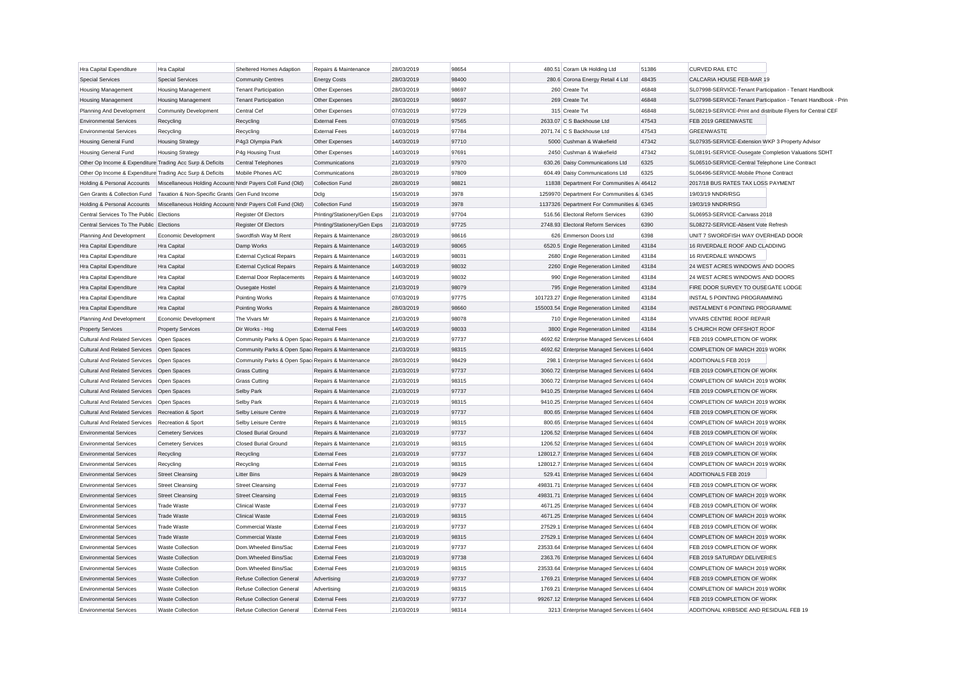| Hra Capital Expenditure                                   | <b>Hra Capital</b>                                         | Sheltered Homes Adaption                          | Repairs & Maintenance        | 28/03/2019 | 98654 | 480.51 Coram Uk Holding Ltd                  | 51386 | <b>CURVED RAIL ETC</b>                                      |                                                               |
|-----------------------------------------------------------|------------------------------------------------------------|---------------------------------------------------|------------------------------|------------|-------|----------------------------------------------|-------|-------------------------------------------------------------|---------------------------------------------------------------|
| <b>Special Services</b>                                   | <b>Special Services</b>                                    | <b>Community Centres</b>                          | <b>Energy Costs</b>          | 28/03/2019 | 98400 | 280.6 Corona Energy Retail 4 Ltd             | 48435 | CALCARIA HOUSE FEB-MAR 19                                   |                                                               |
| <b>Housing Management</b>                                 | <b>Housing Management</b>                                  | <b>Tenant Participation</b>                       | Other Expenses               | 28/03/2019 | 98697 | 260 Create Tvt                               | 46848 | SL07998-SERVICE-Tenant Participation - Tenant Handbook      |                                                               |
| <b>Housing Management</b>                                 | <b>Housing Management</b>                                  | <b>Tenant Participation</b>                       | Other Expenses               | 28/03/2019 | 98697 | 269 Create Tvt                               | 46848 |                                                             | SL07998-SERVICE-Tenant Participation - Tenant Handbook - Prin |
| Planning And Development                                  | Community Development                                      | Central Cef                                       | Other Expenses               | 07/03/2019 | 97729 | 315 Create Tvt                               | 46848 | SL08219-SERVICE-Print and distribute Flyers for Central CEF |                                                               |
| <b>Environmental Services</b>                             | Recycling                                                  | Recycling                                         | <b>External Fees</b>         | 07/03/2019 | 97565 | 2633.07 C S Backhouse Ltd                    | 47543 | FEB 2019 GREENWASTE                                         |                                                               |
| <b>Environmental Services</b>                             | Recycling                                                  | Recycling                                         | <b>External Fees</b>         | 14/03/2019 | 97784 | 2071.74 C S Backhouse Ltd                    | 47543 | <b>GREENWASTE</b>                                           |                                                               |
| <b>Housing General Fund</b>                               | <b>Housing Strategy</b>                                    | P4g3 Olympia Park                                 | Other Expenses               | 14/03/2019 | 97710 | 5000 Cushman & Wakefield                     | 47342 | SL07935-SERVICE-Extension WKP 3 Property Advisor            |                                                               |
| <b>Housing General Fund</b>                               | <b>Housing Strategy</b>                                    | P4g Housing Trust                                 | Other Expenses               | 14/03/2019 | 97691 | 2450 Cushman & Wakefield                     | 47342 | SL08191-SERVICE-Ousegate Completion Valuations SDHT         |                                                               |
| Other Op Income & Expenditure Trading Acc Surp & Deficits |                                                            | Central Telephones                                | Communications               | 21/03/2019 | 97970 | 630.26 Daisy Communications Ltd              | 6325  | SL06510-SERVICE-Central Telephone Line Contract             |                                                               |
| Other Op Income & Expenditure Trading Acc Surp & Deficits |                                                            | Mobile Phones A/C                                 | Communications               | 28/03/2019 | 97809 | 604.49 Daisy Communications Ltd              | 6325  | SL06496-SERVICE-Mobile Phone Contract                       |                                                               |
| Holding & Personal Accounts                               | Miscellaneous Holding Accounts Nndr Payers Coll Fund (Old) |                                                   | Collection Fund              | 28/03/2019 | 98821 | 11838 Department For Communities A 46412     |       | 2017/18 BUS RATES TAX LOSS PAYMENT                          |                                                               |
| Gen Grants & Collection Fund                              | Taxation & Non-Specific Grants Gen Fund Income             |                                                   | Dclg                         | 15/03/2019 | 3978  | 1259970 Department For Communities & 6345    |       | 19/03/19 NNDR/RSG                                           |                                                               |
| Holding & Personal Accounts                               | Miscellaneous Holding Accounts Nndr Payers Coll Fund (Old) |                                                   | Collection Fund              | 15/03/2019 | 3978  | 1137326 Department For Communities & 6345    |       | 19/03/19 NNDR/RSG                                           |                                                               |
| Central Services To The Public Elections                  |                                                            | Register Of Electors                              | Printing/Stationery/Gen Exps | 21/03/2019 | 97704 | 516.56 Electoral Reform Services             | 6390  | SL06953-SERVICE-Canvass 2018                                |                                                               |
| Central Services To The Public Elections                  |                                                            | Register Of Electors                              | Printing/Stationery/Gen Exps | 21/03/2019 | 97725 | 2748.93 Electoral Reform Services            | 6390  | SL08272-SERVICE-Absent Vote Refresh                         |                                                               |
| Planning And Development                                  | Economic Development                                       | Swordfish Way M Rent                              | Repairs & Maintenance        | 28/03/2019 | 98616 | 626 Emmerson Doors Ltd                       | 6398  | UNIT 7 SWORDFISH WAY OVERHEAD DOOR                          |                                                               |
| Hra Capital Expenditure                                   | <b>Hra Capital</b>                                         | Damp Works                                        | Repairs & Maintenance        | 14/03/2019 | 98065 | 6520.5 Engie Regeneration Limited            | 43184 | 16 RIVERDALE ROOF AND CLADDING                              |                                                               |
| Hra Capital Expenditure                                   | Hra Capital                                                | <b>External Cyclical Repairs</b>                  | Repairs & Maintenance        | 14/03/2019 | 98031 | 2680 Engie Regeneration Limited              | 43184 | 16 RIVERDALE WINDOWS                                        |                                                               |
| Hra Capital Expenditure                                   | Hra Capital                                                | <b>External Cyclical Repairs</b>                  | Repairs & Maintenance        | 14/03/2019 | 98032 | 2260 Engie Regeneration Limited              | 43184 | 24 WEST ACRES WINDOWS AND DOORS                             |                                                               |
| Hra Capital Expenditure                                   | Hra Capital                                                | <b>External Door Replacements</b>                 | Repairs & Maintenance        | 14/03/2019 | 98032 | 990 Engie Regeneration Limited               | 43184 | 24 WEST ACRES WINDOWS AND DOORS                             |                                                               |
| Hra Capital Expenditure                                   | Hra Capital                                                | Ousegate Hostel                                   | Repairs & Maintenance        | 21/03/2019 | 98079 | 795 Engie Regeneration Limited               | 43184 | FIRE DOOR SURVEY TO OUSEGATE LODGE                          |                                                               |
| Hra Capital Expenditure                                   | <b>Hra Capital</b>                                         | Pointing Works                                    | Repairs & Maintenance        | 07/03/2019 | 97775 | 101723.27 Engie Regeneration Limited         | 43184 | INSTAL 5 POINTING PROGRAMMING                               |                                                               |
| Hra Capital Expenditure                                   | Hra Capital                                                | Pointing Works                                    | Repairs & Maintenance        | 28/03/2019 | 98660 | 155003.54 Engie Regeneration Limited         | 43184 | INSTALMENT 6 POINTING PROGRAMME                             |                                                               |
|                                                           |                                                            | The Vivars Mr                                     | Repairs & Maintenance        | 21/03/2019 | 98078 | 710 Engie Regeneration Limited               | 43184 | <b>VIVARS CENTRE ROOF REPAIR</b>                            |                                                               |
| Planning And Development                                  | Economic Development                                       |                                                   |                              |            |       |                                              |       |                                                             |                                                               |
| <b>Property Services</b>                                  | <b>Property Services</b>                                   | Dir Works - Hsg                                   | <b>External Fees</b>         | 14/03/2019 | 98033 | 3800 Engie Regeneration Limited              | 43184 | 5 CHURCH ROW OFFSHOT ROOF                                   |                                                               |
| Cultural And Related Services Open Spaces                 |                                                            | Community Parks & Open Spac Repairs & Maintenance |                              | 21/03/2019 | 97737 | 4692.62 Enterprise Managed Services Lt 6404  |       | FEB 2019 COMPLETION OF WORK                                 |                                                               |
| <b>Cultural And Related Services</b>                      | Open Spaces                                                | Community Parks & Open Spac Repairs & Maintenance |                              | 21/03/2019 | 98315 | 4692.62 Enterprise Managed Services Lt 6404  |       | COMPLETION OF MARCH 2019 WORK                               |                                                               |
| Cultural And Related Services Open Spaces                 |                                                            | Community Parks & Open Spac Repairs & Maintenance |                              | 28/03/2019 | 98429 | 298.1 Enterprise Managed Services Lt 6404    |       | ADDITIONALS FEB 2019                                        |                                                               |
| Cultural And Related Services   Open Spaces               |                                                            | <b>Grass Cutting</b>                              | Repairs & Maintenance        | 21/03/2019 | 97737 | 3060.72 Enterprise Managed Services Lt 6404  |       | FEB 2019 COMPLETION OF WORK                                 |                                                               |
| <b>Cultural And Related Services</b>                      | Open Spaces                                                | <b>Grass Cutting</b>                              | Repairs & Maintenance        | 21/03/2019 | 98315 | 3060.72 Enterprise Managed Services Lt 6404  |       | COMPLETION OF MARCH 2019 WORK                               |                                                               |
| <b>Cultural And Related Services</b>                      | Open Spaces                                                | Selby Park                                        | Repairs & Maintenance        | 21/03/2019 | 97737 | 9410.25 Enterprise Managed Services Lt 6404  |       | FEB 2019 COMPLETION OF WORK                                 |                                                               |
| <b>Cultural And Related Services</b>                      | Open Spaces                                                | Selby Park                                        | Repairs & Maintenance        | 21/03/2019 | 98315 | 9410.25 Enterprise Managed Services Lt 6404  |       | COMPLETION OF MARCH 2019 WORK                               |                                                               |
| Cultural And Related Services Recreation & Sport          |                                                            | Selby Leisure Centre                              | Repairs & Maintenance        | 21/03/2019 | 97737 | 800.65 Enterprise Managed Services Lt 6404   |       | FEB 2019 COMPLETION OF WORK                                 |                                                               |
| <b>Cultural And Related Services</b>                      | Recreation & Sport                                         | Selby Leisure Centre                              | Repairs & Maintenance        | 21/03/2019 | 98315 | 800.65 Enterprise Managed Services Lt 6404   |       | COMPLETION OF MARCH 2019 WORK                               |                                                               |
| <b>Environmental Services</b>                             | <b>Cemetery Services</b>                                   | <b>Closed Burial Ground</b>                       | Repairs & Maintenance        | 21/03/2019 | 97737 | 1206.52 Enterprise Managed Services Lt 6404  |       | FEB 2019 COMPLETION OF WORK                                 |                                                               |
| <b>Environmental Services</b>                             | <b>Cemetery Services</b>                                   | Closed Burial Ground                              | Repairs & Maintenance        | 21/03/2019 | 98315 | 1206.52 Enterprise Managed Services Lt 6404  |       | COMPLETION OF MARCH 2019 WORK                               |                                                               |
| <b>Environmental Services</b>                             | Recycling                                                  | Recycling                                         | <b>External Fees</b>         | 21/03/2019 | 97737 | 128012.7 Enterprise Managed Services Lt 6404 |       | FEB 2019 COMPLETION OF WORK                                 |                                                               |
| <b>Environmental Services</b>                             | Recycling                                                  | Recycling                                         | <b>External Fees</b>         | 21/03/2019 | 98315 | 128012.7 Enterprise Managed Services Lt 6404 |       | COMPLETION OF MARCH 2019 WORK                               |                                                               |
| <b>Environmental Services</b>                             | <b>Street Cleansing</b>                                    | <b>Litter Bins</b>                                | Repairs & Maintenance        | 28/03/2019 | 98429 | 529.41 Enterprise Managed Services Lt 6404   |       | ADDITIONALS FEB 2019                                        |                                                               |
| <b>Environmental Services</b>                             | <b>Street Cleansing</b>                                    | <b>Street Cleansing</b>                           | <b>External Fees</b>         | 21/03/2019 | 97737 | 49831.71 Enterprise Managed Services Lt 6404 |       | FEB 2019 COMPLETION OF WORK                                 |                                                               |
| <b>Environmental Services</b>                             | <b>Street Cleansing</b>                                    | <b>Street Cleansing</b>                           | <b>External Fees</b>         | 21/03/2019 | 98315 | 49831.71 Enterprise Managed Services Lt 6404 |       | COMPLETION OF MARCH 2019 WORK                               |                                                               |
| <b>Environmental Services</b>                             | <b>Trade Waste</b>                                         | <b>Clinical Waste</b>                             | <b>External Fees</b>         | 21/03/2019 | 97737 | 4671.25 Enterprise Managed Services Lt 6404  |       | FEB 2019 COMPLETION OF WORK                                 |                                                               |
| <b>Environmental Services</b>                             | <b>Trade Waste</b>                                         | <b>Clinical Waste</b>                             | <b>External Fees</b>         | 21/03/2019 | 98315 | 4671.25 Enterprise Managed Services Lt 6404  |       | COMPLETION OF MARCH 2019 WORK                               |                                                               |
| <b>Environmental Services</b>                             | <b>Trade Waste</b>                                         | <b>Commercial Waste</b>                           | <b>External Fees</b>         | 21/03/2019 | 97737 | 27529.1 Enterprise Managed Services Lt 6404  |       | FEB 2019 COMPLETION OF WORK                                 |                                                               |
| <b>Environmental Services</b>                             | <b>Trade Waste</b>                                         | <b>Commercial Waste</b>                           | <b>External Fees</b>         | 21/03/2019 | 98315 | 27529.1 Enterprise Managed Services Lt 6404  |       | COMPLETION OF MARCH 2019 WORK                               |                                                               |
| <b>Environmental Services</b>                             | <b>Waste Collection</b>                                    | Dom.Wheeled Bins/Sac                              | <b>External Fees</b>         | 21/03/2019 | 97737 | 23533.64 Enterprise Managed Services Lt 6404 |       | FEB 2019 COMPLETION OF WORK                                 |                                                               |
| <b>Environmental Services</b>                             | <b>Waste Collection</b>                                    | Dom.Wheeled Bins/Sac                              | <b>External Fees</b>         | 21/03/2019 | 97738 | 2363.76 Enterprise Managed Services Lt 6404  |       | FEB 2019 SATURDAY DELIVERIES                                |                                                               |
| <b>Environmental Services</b>                             | <b>Waste Collection</b>                                    | Dom.Wheeled Bins/Sac                              | <b>External Fees</b>         | 21/03/2019 | 98315 | 23533.64 Enterprise Managed Services Lt 6404 |       | COMPLETION OF MARCH 2019 WORK                               |                                                               |
| <b>Environmental Services</b>                             | <b>Waste Collection</b>                                    | <b>Refuse Collection General</b>                  | Advertising                  | 21/03/2019 | 97737 | 1769.21 Enterprise Managed Services Lt 6404  |       | FEB 2019 COMPLETION OF WORK                                 |                                                               |
| <b>Environmental Services</b>                             | <b>Waste Collection</b>                                    | <b>Refuse Collection General</b>                  | Advertising                  | 21/03/2019 | 98315 | 1769.21 Enterprise Managed Services Lt 6404  |       | COMPLETION OF MARCH 2019 WORK                               |                                                               |
| <b>Environmental Services</b>                             | <b>Waste Collection</b>                                    | <b>Refuse Collection General</b>                  | <b>External Fees</b>         | 21/03/2019 | 97737 | 99267.12 Enterprise Managed Services Lt 6404 |       | FEB 2019 COMPLETION OF WORK                                 |                                                               |
| Environmental Services                                    | Waste Collection                                           | Refuse Collection General                         | <b>External Fees</b>         | 21/03/2019 | 98314 | 3213 Enterprise Managed Services Lt 6404     |       | ADDITIONAL KIRBSIDE AND RESIDUAL FEB 19                     |                                                               |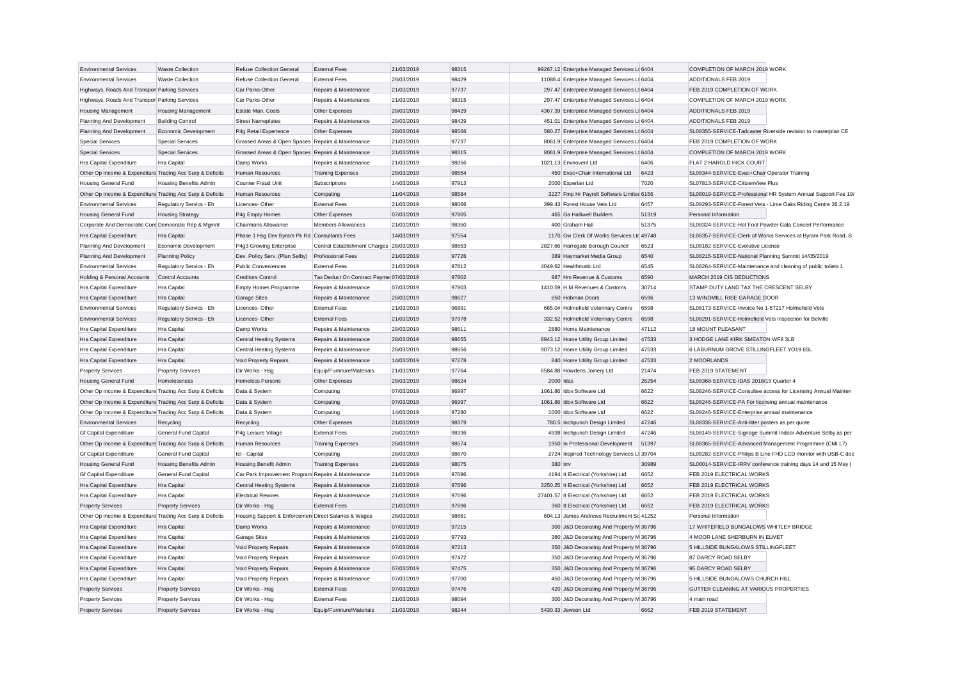| <b>Environmental Services</b>                             | <b>Waste Collection</b>       | <b>Refuse Collection General</b>                     | <b>External Fees</b>                     | 21/03/2019 | 98315 | 99267.12 Enterprise Managed Services Lt 6404 |       | COMPLETION OF MARCH 2019 WORK                                |                                                               |
|-----------------------------------------------------------|-------------------------------|------------------------------------------------------|------------------------------------------|------------|-------|----------------------------------------------|-------|--------------------------------------------------------------|---------------------------------------------------------------|
| <b>Environmental Services</b>                             | <b>Waste Collection</b>       | <b>Refuse Collection General</b>                     | <b>External Fees</b>                     | 28/03/2019 | 98429 | 11088.4 Enterprise Managed Services Lt 6404  |       | ADDITIONALS FEB 2019                                         |                                                               |
| Highways, Roads And Transpor Parking Services             |                               | Car Parks-Other                                      | Repairs & Maintenance                    | 21/03/2019 | 97737 | 297.47 Enterprise Managed Services Lt 6404   |       | FEB 2019 COMPLETION OF WORK                                  |                                                               |
| Highways, Roads And Transpor Parking Services             |                               | Car Parks-Other                                      | Repairs & Maintenance                    | 21/03/2019 | 98315 | 297.47 Enterprise Managed Services Lt 6404   |       | COMPLETION OF MARCH 2019 WORK                                |                                                               |
| <b>Housing Management</b>                                 | <b>Housing Management</b>     | Estate Man. Costs                                    | Other Expenses                           | 28/03/2019 | 98429 | 4367.39 Enterprise Managed Services Lt 6404  |       | ADDITIONALS FEB 2019                                         |                                                               |
| Planning And Development                                  | <b>Building Control</b>       | <b>Street Nameplates</b>                             | Repairs & Maintenance                    | 28/03/2019 | 98429 | 451.01 Enterprise Managed Services Lt 6404   |       | <b>ADDITIONALS FEB 2019</b>                                  |                                                               |
| Planning And Development                                  | Economic Development          | P4g Retail Experience                                | Other Expenses                           | 28/03/2019 | 98566 | 580.27 Enterprise Managed Services Lt 6404   |       |                                                              | SL08355-SERVICE-Tadcaster Riverside revision to masterplan CE |
| <b>Special Services</b>                                   | <b>Special Services</b>       | Grassed Areas & Open Spaces Repairs & Maintenance    |                                          | 21/03/2019 | 97737 | 8061.9 Enterprise Managed Services Lt 6404   |       | FEB 2019 COMPLETION OF WORK                                  |                                                               |
| <b>Special Services</b>                                   | <b>Special Services</b>       | Grassed Areas & Open Spaces Repairs & Maintenance    |                                          | 21/03/2019 | 98315 | 8061.9 Enterprise Managed Services Lt 6404   |       | COMPLETION OF MARCH 2019 WORK                                |                                                               |
| Hra Capital Expenditure                                   | Hra Capital                   | Damp Works                                           | Repairs & Maintenance                    | 21/03/2019 | 98056 | 1021.13 Envirovent Ltd                       | 6406  | FLAT 2 HAROLD HICK COURT                                     |                                                               |
| Other Op Income & Expenditure Trading Acc Surp & Deficits |                               | Human Resources                                      | <b>Training Expenses</b>                 | 28/03/2019 | 98554 | 450 Evac+Chair International Ltd             | 6423  | SL08344-SERVICE-Evac+Chair Operator Training                 |                                                               |
| <b>Housing General Fund</b>                               | <b>Housing Benefits Admin</b> | Counter Fraud Unit                                   | Subscriptions                            | 14/03/2019 | 97913 | 2000 Experian Ltd                            | 7020  | SL07813-SERVICE-CitizenView Plus                             |                                                               |
| Other Op Income & Expenditure Trading Acc Surp & Deficits |                               | <b>Human Resources</b>                               | Computing                                | 11/04/2019 | 98584 | 3227 Fmp Hr Payroll Software Limited 6156    |       |                                                              | SL08019-SERVICE-Professional HR System Annual Support Fee 19  |
| <b>Environmental Services</b>                             | Regulatory Servics - Eh       | Licences-Other                                       | <b>External Fees</b>                     | 21/03/2019 | 98066 | 399.43 Forest House Vets Ltd                 | 6457  |                                                              | SL08293-SERVICE-Forest Vets - Lime Oaks Riding Centre 26.2.19 |
| <b>Housing General Fund</b>                               | <b>Housing Strategy</b>       | P4g Empty Homes                                      | Other Expenses                           | 07/03/2019 | 97805 | 465 Ga Halliwell Builders                    | 51319 | Personal Information                                         |                                                               |
| Corporate And Democratic Core Democratic Rep & Mgmnt      |                               | Chairmans Allowance                                  | Members Allowances                       | 21/03/2019 | 98350 | 400 Graham Hall                              | 51375 |                                                              | SL08324-SERVICE-Hot Foot Powder Gala Concert Performance      |
| Hra Capital Expenditure                                   | Hra Capital                   | Phase 1 Hsg Dev Byram Pk Rd Consultants Fees         |                                          | 14/03/2019 | 97554 | 1170 Gw Clerk Of Works Services Ltc 49748    |       |                                                              | SL06357-SERVICE-Clerk of Works Services at Byram Park Road, B |
| Planning And Development                                  | Economic Development          | P4g3 Growing Enterprise                              | Central Establishment Charges 28/03/2019 |            | 98653 | 2827.66 Harrogate Borough Council            | 6523  | SL08182-SERVICE-Evolutive License                            |                                                               |
| Planning And Development                                  | <b>Planning Policy</b>        | Dev. Policy Serv. (Plan Selby)                       | <b>Professional Fees</b>                 | 21/03/2019 | 97726 | 389 Haymarket Media Group                    | 6540  | SL08215-SERVICE-National Planning Summit 14/05/2019          |                                                               |
| <b>Environmental Services</b>                             | Regulatory Servics - Eh       | <b>Public Conveniences</b>                           | <b>External Fees</b>                     | 21/03/2019 | 97812 | 4049.62 Healthmatic Ltd                      | 6545  | SL08264-SERVICE-Maintenance and cleaning of public toilets 1 |                                                               |
| Holding & Personal Accounts                               | Control Accounts              | <b>Creditors Control</b>                             | Tax Deduct On Contract Payme 07/03/2019  |            | 97802 | 987 Hm Revenue & Customs                     | 6590  | MARCH 2019 CIS DEDUCTIONS                                    |                                                               |
| Hra Capital Expenditure                                   | Hra Capital                   | Empty Homes Programme                                | Repairs & Maintenance                    | 07/03/2019 | 97803 | 1410.59 H M Revenues & Customs               | 30714 | STAMP DUTY LAND TAX THE CRESCENT SELBY                       |                                                               |
| Hra Capital Expenditure                                   | Hra Capital                   | <b>Garage Sites</b>                                  | Repairs & Maintenance                    | 28/03/2019 | 98627 | 650 Hobman Doors                             | 6596  | 13 WINDMILL RISE GARAGE DOOR                                 |                                                               |
| <b>Environmental Services</b>                             | Regulatory Servics - Eh       | Licences-Other                                       | <b>External Fees</b>                     | 21/03/2019 | 96891 | 665.04 Holmefield Veterinary Centre          | 6598  | SL08173-SERVICE-Invoice No 1-57217 Holmefield Vets           |                                                               |
| <b>Environmental Services</b>                             |                               | Licences-Other                                       | <b>External Fees</b>                     | 21/03/2019 | 97978 | 332.52 Holmefield Veterinary Centre          | 6598  | SL08291-SERVICE-Holmefield Vets Inspection for Belville      |                                                               |
|                                                           | Regulatory Servics - Eh       |                                                      |                                          |            |       |                                              |       |                                                              |                                                               |
| Hra Capital Expenditure                                   | Hra Capital                   | Damp Works                                           | Repairs & Maintenance                    | 28/03/2019 | 98611 | 2880 Home Maintenance                        | 47112 | 18 MOUNT PLEASANT                                            |                                                               |
| Hra Capital Expenditure                                   | <b>Hra</b> Capital            | <b>Central Heating Systems</b>                       | Repairs & Maintenance                    | 28/03/2019 | 98655 | 8943.12 Home Utility Group Limited           | 47533 | 3 HODGE LANE KIRK SMEATON WF8 3LB                            |                                                               |
| Hra Capital Expenditure                                   | Hra Capital                   | <b>Central Heating Systems</b>                       | Repairs & Maintenance                    | 28/03/2019 | 98656 | 9073.12 Home Utility Group Limited           | 47533 | 6 LABURNUM GROVE STILLINGFLEET YO19 6SL                      |                                                               |
| Hra Capital Expenditure                                   | Hra Capital                   | Void Property Repairs                                | Repairs & Maintenance                    | 14/03/2019 | 97278 | 840 Home Utility Group Limited               | 47533 | 2 MOORLANDS                                                  |                                                               |
| <b>Property Services</b>                                  | <b>Property Services</b>      | Dir Works - Hsg                                      | Equip/Furniture/Materials                | 21/03/2019 | 97764 | 6584.88 Howdens Joinery Ltd                  | 21474 | FEB 2019 STATEMENT                                           |                                                               |
| <b>Housing General Fund</b>                               | Homelessness                  | <b>Homeless Persons</b>                              | Other Expenses                           | 28/03/2019 | 98624 | 2000 Idas                                    | 26254 | SL08368-SERVICE-IDAS 2018/19 Quarter 4                       |                                                               |
| Other Op Income & Expenditure Trading Acc Surp & Deficits |                               | Data & System                                        | Computing                                | 07/03/2019 | 96997 | 1061.86 Idox Software Ltd                    | 6622  |                                                              | SL08246-SERVICE-Consultee access for Licensing Annual Mainten |
| Other Op Income & Expenditure Trading Acc Surp & Deficits |                               | Data & System                                        | Computing                                | 07/03/2019 | 96997 | 1061.86 Idox Software Ltd                    | 6622  | SL08246-SERVICE-PA For licensing annual maintenance          |                                                               |
| Other Op Income & Expenditure Trading Acc Surp & Deficits |                               | Data & System                                        | Computing                                | 14/03/2019 | 97280 | 1000 Idox Software Ltd                       | 6622  | SL08246-SERVICE-Enterprise annual maintenance                |                                                               |
| <b>Environmental Services</b>                             | Recycling                     | Recycling                                            | Other Expenses                           | 21/03/2019 | 98379 | 780.5 Inchpunch Design Limited               | 47246 | SL08336-SERVICE-Anti-litter posters as per quote             |                                                               |
| <b>Gf Capital Expenditure</b>                             | General Fund Capital          | P4g Leisure Village                                  | <b>External Fees</b>                     | 28/03/2019 | 98336 | 4938 Inchpunch Design Limited                | 47246 |                                                              | SL08149-SERVICE-Signage Summit Indoor Adventure Selby as per  |
| Other Op Income & Expenditure Trading Acc Surp & Deficits |                               | <b>Human Resources</b>                               | <b>Training Expenses</b>                 | 28/03/2019 | 98574 | 1950 In Professional Development             | 51397 |                                                              | SL08365-SERVICE-Advanced Management Programme (CMI L7)        |
| <b>Gf Capital Expenditure</b>                             | General Fund Capital          | Ict - Capital                                        | Computing                                | 28/03/2019 | 98670 | 2724 Inspired Technology Services Lt 39704   |       |                                                              | SL08282-SERVICE-Philips B Line FHD LCD monitor with USB-C doc |
| <b>Housing General Fund</b>                               | Housing Benefits Admin        | Housing Benefit Admin                                | <b>Training Expenses</b>                 | 21/03/2019 | 98075 | 380 Irrv                                     | 30989 |                                                              | SL08014-SERVICE-IRRV conference training days 14 and 15 May   |
| <b>Gf Capital Expenditure</b>                             | General Fund Capital          | Car Park Improvement Program Repairs & Maintenance   |                                          | 21/03/2019 | 97696 | 4194 It Electrical (Yorkshire) Ltd           | 6652  | FEB 2019 ELECTRICAL WORKS                                    |                                                               |
| Hra Capital Expenditure                                   | Hra Capital                   | <b>Central Heating Systems</b>                       | Repairs & Maintenance                    | 21/03/2019 | 97696 | 3250.25 It Electrical (Yorkshire) Ltd        | 6652  | FEB 2019 ELECTRICAL WORKS                                    |                                                               |
| Hra Capital Expenditure                                   | <b>Hra Capital</b>            | <b>Electrical Rewires</b>                            | Repairs & Maintenance                    | 21/03/2019 | 97696 | 27401.57 It Electrical (Yorkshire) Ltd       | 6652  | FEB 2019 ELECTRICAL WORKS                                    |                                                               |
| <b>Property Services</b>                                  | <b>Property Services</b>      | Dir Works - Hsg                                      | <b>External Fees</b>                     | 21/03/2019 | 97696 | 360 It Electrical (Yorkshire) Ltd            | 6652  | FEB 2019 ELECTRICAL WORKS                                    |                                                               |
| Other Op Income & Expenditure Trading Acc Surp & Deficits |                               | Housing Support & Enforcemen Direct Salaries & Wages |                                          | 28/03/2019 | 98661 | 604.13 James Andrews Recruitment Sc 41252    |       | Personal Information                                         |                                                               |
| Hra Capital Expenditure                                   | Hra Capital                   | Damp Works                                           | Repairs & Maintenance                    | 07/03/2019 | 97215 | 300 J&D Decorating And Property M 36796      |       | 17 WHITEFIELD BUNGALOWS WHITLEY BRIDGE                       |                                                               |
| Hra Capital Expenditure                                   | Hra Capital                   | <b>Garage Sites</b>                                  | Repairs & Maintenance                    | 21/03/2019 | 97793 | 380 J&D Decorating And Property M 36796      |       | 4 MOOR LANE SHERBURN IN ELMET                                |                                                               |
| Hra Capital Expenditure                                   | <b>Hra Capital</b>            | Void Property Repairs                                | Repairs & Maintenance                    | 07/03/2019 | 97213 | 350 J&D Decorating And Property M 36796      |       | 5 HILLSIDE BUNGALOWS STILLINGFLEET                           |                                                               |
| Hra Capital Expenditure                                   | Hra Capital                   | <b>Void Property Repairs</b>                         | Repairs & Maintenance                    | 07/03/2019 | 97472 | 350 J&D Decorating And Property M 36796      |       | 87 DARCY ROAD SELBY                                          |                                                               |
| Hra Capital Expenditure                                   | Hra Capital                   | Void Property Repairs                                | Repairs & Maintenance                    | 07/03/2019 | 97475 | 350 J&D Decorating And Property M 36796      |       | 95 DARCY ROAD SELBY                                          |                                                               |
| Hra Capital Expenditure                                   | Hra Capital                   | Void Property Repairs                                | Repairs & Maintenance                    | 07/03/2019 | 97700 | 450 J&D Decorating And Property M 36796      |       | 5 HILLSIDE BUNGALOWS CHURCH HILL                             |                                                               |
| <b>Property Services</b>                                  | <b>Property Services</b>      | Dir Works - Hsg                                      | <b>External Fees</b>                     | 07/03/2019 | 97476 | 420 J&D Decorating And Property M 36796      |       | GUTTER CLEANING AT VARIOUS PROPERTIES                        |                                                               |
| <b>Property Services</b>                                  | <b>Property Services</b>      | Dir Works - Hsg                                      | <b>External Fees</b>                     | 21/03/2019 | 98094 | 300 J&D Decorating And Property M 36796      |       | 4 main mad                                                   |                                                               |
| <b>Property Services</b>                                  | <b>Property Services</b>      | Dir Works - Hsg                                      | Equip/Furniture/Materials                | 21/03/2019 | 98244 | 5430.33 Jewson Ltd                           | 6662  | FEB 2019 STATEMENT                                           |                                                               |
|                                                           |                               |                                                      |                                          |            |       |                                              |       |                                                              |                                                               |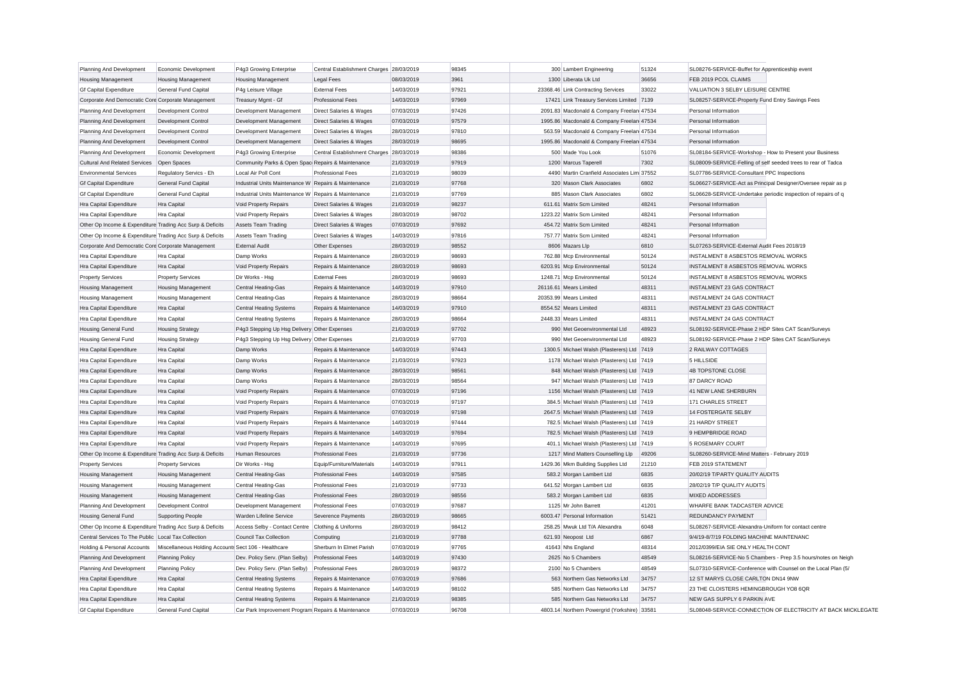| Planning And Development                                  | Economic Development                                 | P4g3 Growing Enterprise                              | Central Establishment Charges 28/03/2019 |            | 98345 | 300 Lambert Engineering                    | 51324 | SL08276-SERVICE-Buffet for Apprenticeship event               |
|-----------------------------------------------------------|------------------------------------------------------|------------------------------------------------------|------------------------------------------|------------|-------|--------------------------------------------|-------|---------------------------------------------------------------|
| <b>Housing Management</b>                                 | <b>Housing Management</b>                            | <b>Housing Management</b>                            | <b>Legal Fees</b>                        | 08/03/2019 | 3961  | 1300 Liberata Uk Ltd                       | 36656 | FEB 2019 PCOL CLAIMS                                          |
| Gf Capital Expenditure                                    | <b>General Fund Capital</b>                          | P4g Leisure Village                                  | <b>External Fees</b>                     | 14/03/2019 | 97921 | 23368.46 Link Contracting Services         | 33022 | VALUATION 3 SELBY LEISURE CENTRE                              |
| Corporate And Democratic Core Corporate Management        |                                                      | Treasury Mgmt - Gf                                   | <b>Professional Fees</b>                 | 14/03/2019 | 97969 | 17421 Link Treasury Services Limited 7139  |       | SL08257-SERVICE-Property Fund Entry Savings Fees              |
| Planning And Development                                  | <b>Development Control</b>                           | Development Management                               | Direct Salaries & Wages                  | 07/03/2019 | 97426 | 2091.83 Macdonald & Company Freelan 47534  |       | Personal Information                                          |
| Planning And Development                                  | <b>Development Control</b>                           | Development Management                               | Direct Salaries & Wages                  | 07/03/2019 | 97579 | 1995.86 Macdonald & Company Freelan 47534  |       | Personal Information                                          |
| Planning And Development                                  | Development Control                                  | Development Management                               | Direct Salaries & Wages                  | 28/03/2019 | 97810 | 563.59 Macdonald & Company Freelan 47534   |       | Personal Information                                          |
| Planning And Development                                  | Development Control                                  | Development Management                               | Direct Salaries & Wages                  | 28/03/2019 | 98695 | 1995.86 Macdonald & Company Freelan 47534  |       | Personal Information                                          |
| Planning And Development                                  | Economic Development                                 | P4g3 Growing Enterprise                              | Central Establishment Charges 28/03/2019 |            | 98386 | 500 Made You Look                          | 51076 | SL08184-SERVICE-Workshop - How to Present your Business       |
| <b>Cultural And Related Services</b>                      | Open Spaces                                          | Community Parks & Open Spac Repairs & Maintenance    |                                          | 21/03/2019 | 97919 | 1200 Marcus Taperell                       | 7302  | SL08009-SERVICE-Felling of self seeded trees to rear of Tadca |
| <b>Environmental Services</b>                             | Regulatory Servics - Eh                              | Local Air Poll Cont                                  | <b>Professional Fees</b>                 | 21/03/2019 | 98039 | 4490 Martin Cranfield Associates Lim 37552 |       | SL07786-SERVICE-Consultant PPC Inspections                    |
| <b>Gf Capital Expenditure</b>                             | General Fund Capital                                 | Industrial Units Maintenance W Repairs & Maintenance |                                          | 21/03/2019 | 97768 | 320 Mason Clark Associates                 | 6802  | SL06627-SERVICE-Act as Principal Designer/Oversee repair as p |
| <b>Gf Capital Expenditure</b>                             | General Fund Capital                                 | Industrial Units Maintenance W Repairs & Maintenance |                                          | 21/03/2019 | 97769 | 885 Mason Clark Associates                 | 6802  | SL06628-SERVICE-Undertake periodic inspection of repairs of q |
| Hra Capital Expenditure                                   | Hra Capital                                          | Void Property Repairs                                | <b>Direct Salaries &amp; Wages</b>       | 21/03/2019 | 98237 | 611.61 Matrix Scm Limited                  | 48241 | Personal Information                                          |
| Hra Capital Expenditure                                   | Hra Capital                                          | Void Property Repairs                                | Direct Salaries & Wages                  | 28/03/2019 | 98702 | 1223.22 Matrix Scm Limited                 | 48241 | Personal Information                                          |
| Other Op Income & Expenditure Trading Acc Surp & Deficits |                                                      | Assets Team Trading                                  | Direct Salaries & Wages                  | 07/03/2019 | 97692 | 454.72 Matrix Scm Limited                  | 48241 | Personal Information                                          |
| Other Op Income & Expenditure Trading Acc Surp & Deficits |                                                      | <b>Assets Team Trading</b>                           | Direct Salaries & Wages                  | 14/03/2019 | 97816 | 757.77 Matrix Scm Limited                  | 48241 | Personal Information                                          |
| Corporate And Democratic Core Corporate Management        |                                                      | <b>External Audit</b>                                | Other Expenses                           | 28/03/2019 | 98552 | 8606 Mazars Llp                            | 6810  | SL07263-SERVICE-External Audit Fees 2018/19                   |
| Hra Capital Expenditure                                   | Hra Capital                                          | Damp Works                                           | Repairs & Maintenance                    | 28/03/2019 | 98693 | 762.88 Mcp Environmental                   | 50124 | INSTALMENT 8 ASBESTOS REMOVAL WORKS                           |
| Hra Capital Expenditure                                   | Hra Capital                                          | Void Property Repairs                                | Repairs & Maintenance                    | 28/03/2019 | 98693 | 6203.91 Mcp Environmental                  | 50124 | INSTALMENT 8 ASBESTOS REMOVAL WORKS                           |
| <b>Property Services</b>                                  | <b>Property Services</b>                             | Dir Works - Hsg                                      | <b>External Fees</b>                     | 28/03/2019 | 98693 | 1248.71 Mcp Environmental                  | 50124 | INSTALMENT 8 ASBESTOS REMOVAL WORKS                           |
| <b>Housing Management</b>                                 | <b>Housing Management</b>                            | Central Heating-Gas                                  | Repairs & Maintenance                    | 14/03/2019 | 97910 | 26116.61 Mears Limited                     | 48311 | <b>INSTALMENT 23 GAS CONTRACT</b>                             |
| <b>Housing Management</b>                                 | <b>Housing Management</b>                            | Central Heating-Gas                                  | Repairs & Maintenance                    | 28/03/2019 | 98664 | 20353.99 Mears Limited                     | 48311 | <b>INSTALMENT 24 GAS CONTRACT</b>                             |
| Hra Capital Expenditure                                   | <b>Hra</b> Capital                                   | Central Heating Systems                              | Repairs & Maintenance                    | 14/03/2019 | 97910 | 8554.52 Mears Limited                      | 48311 | <b>INSTALMENT 23 GAS CONTRACT</b>                             |
| Hra Capital Expenditure                                   | Hra Capital                                          | Central Heating Systems                              | Repairs & Maintenance                    | 28/03/2019 | 98664 | 2448.33 Mears Limited                      | 48311 | <b>INSTALMENT 24 GAS CONTRACT</b>                             |
| <b>Housing General Fund</b>                               | <b>Housing Strategy</b>                              | P4g3 Stepping Up Hsg Delivery Other Expenses         |                                          | 21/03/2019 | 97702 | 990 Met Geoenvironmental Ltd               | 48923 | SL08192-SERVICE-Phase 2 HDP Sites CAT Scan/Surveys            |
| <b>Housing General Fund</b>                               | <b>Housing Strategy</b>                              | P4g3 Stepping Up Hsg Delivery Other Expenses         |                                          | 21/03/2019 | 97703 | 990 Met Geoenvironmental Ltd               | 48923 | SL08192-SERVICE-Phase 2 HDP Sites CAT Scan/Surveys            |
| Hra Capital Expenditure                                   | Hra Capital                                          | Damp Works                                           | Repairs & Maintenance                    | 14/03/2019 | 97443 | 1300.5 Michael Walsh (Plasterers) Ltd 7419 |       | 2 RAILWAY COTTAGES                                            |
| Hra Capital Expenditure                                   | Hra Capital                                          | Damp Works                                           | Repairs & Maintenance                    | 21/03/2019 | 97923 | 1178 Michael Walsh (Plasterers) Ltd 7419   |       | 5 HILLSIDE                                                    |
| Hra Capital Expenditure                                   | <b>Hra Capital</b>                                   | Damp Works                                           | Repairs & Maintenance                    | 28/03/2019 | 98561 | 848 Michael Walsh (Plasterers) Ltd 7419    |       | <b>4B TOPSTONE CLOSE</b>                                      |
| Hra Capital Expenditure                                   | <b>Hra Capital</b>                                   | Damp Works                                           | Repairs & Maintenance                    | 28/03/2019 | 98564 | 947 Michael Walsh (Plasterers) Ltd 7419    |       | 87 DARCY ROAD                                                 |
| Hra Capital Expenditure                                   | <b>Hra Capital</b>                                   | Void Property Repairs                                | Repairs & Maintenance                    | 07/03/2019 | 97196 | 1156 Michael Walsh (Plasterers) Ltd        | 7419  | 41 NEW LANE SHERBURN                                          |
| Hra Capital Expenditure                                   | Hra Capital                                          | Void Property Repairs                                | Repairs & Maintenance                    | 07/03/2019 | 97197 | 384.5 Michael Walsh (Plasterers) Ltd 7419  |       | 171 CHARLES STREET                                            |
| Hra Capital Expenditure                                   | Hra Capital                                          | Void Property Repairs                                | Repairs & Maintenance                    | 07/03/2019 | 97198 | 2647.5 Michael Walsh (Plasterers) Ltd 7419 |       | 14 FOSTERGATE SELBY                                           |
| Hra Capital Expenditure                                   | Hra Capital                                          | Void Property Repairs                                | Repairs & Maintenance                    | 14/03/2019 | 97444 | 782.5 Michael Walsh (Plasterers) Ltd 7419  |       | 21 HARDY STREET                                               |
| Hra Capital Expenditure                                   | Hra Capital                                          | Void Property Repairs                                | Repairs & Maintenance                    | 14/03/2019 | 97694 | 782.5 Michael Walsh (Plasterers) Ltd 7419  |       | 9 HEMPBRIDGE ROAD                                             |
| Hra Capital Expenditure                                   | Hra Capital                                          | Void Property Repairs                                | Repairs & Maintenance                    | 14/03/2019 | 97695 | 401.1 Michael Walsh (Plasterers) Ltd 7419  |       | 5 ROSEMARY COURT                                              |
| Other Op Income & Expenditure Trading Acc Surp & Deficits |                                                      | Human Resources                                      | <b>Professional Fees</b>                 | 21/03/2019 | 97736 | 1217 Mind Matters Counselling Llp          | 49206 | SL08260-SERVICE-Mind Matters - February 2019                  |
| <b>Property Services</b>                                  | <b>Property Services</b>                             | Dir Works - Hsg                                      | Equip/Furniture/Materials                | 14/03/2019 | 97911 | 1429.36 Mkm Building Supplies Ltd          | 21210 | FEB 2019 STATEMENT                                            |
| <b>Housing Management</b>                                 | <b>Housing Management</b>                            | Central Heating-Gas                                  | <b>Professional Fees</b>                 | 14/03/2019 | 97585 | 583.2 Morgan Lambert Ltd                   | 6835  | 20/02/19 T/PARTY QUALITY AUDITS                               |
| <b>Housing Management</b>                                 | <b>Housing Management</b>                            | Central Heating-Gas                                  | <b>Professional Fees</b>                 | 21/03/2019 | 97733 | 641.52 Morgan Lambert Ltd                  | 6835  | 28/02/19 T/P QUALITY AUDITS                                   |
| <b>Housing Management</b>                                 | <b>Housing Management</b>                            | Central Heating-Gas                                  | <b>Professional Fees</b>                 | 28/03/2019 | 98556 | 583.2 Morgan Lambert Ltd                   | 6835  | <b>MIXED ADDRESSES</b>                                        |
| Planning And Development                                  | <b>Development Control</b>                           | Development Management                               | <b>Professional Fees</b>                 | 07/03/2019 | 97687 | 1125 Mr John Barrett                       | 41201 | WHARFE BANK TADCASTER ADVICE                                  |
| <b>Housing General Fund</b>                               | <b>Supporting People</b>                             | Warden Lifeline Service                              | <b>Severence Payments</b>                | 28/03/2019 | 98665 | 6003.47 Personal Information               | 51421 | REDUNDANCY PAYMENT                                            |
| Other Op Income & Expenditure Trading Acc Surp & Deficits |                                                      | Access Selby - Contact Centre Clothing & Uniforms    |                                          | 28/03/2019 | 98412 | 258.25 Mwuk Ltd T/A Alexandra              | 6048  | SL08267-SERVICE-Alexandra-Uniform for contact centre          |
| Central Services To The Public Local Tax Collection       |                                                      | Council Tax Collection                               | Computing                                | 21/03/2019 | 97788 | 621.93 Neopost Ltd                         | 6867  | 9/4/19-8/7/19 FOLDING MACHINE MAINTENANC                      |
| Holding & Personal Accounts                               | Miscellaneous Holding Accounts Sect 106 - Healthcare |                                                      | Sherburn In Elmet Parish                 | 07/03/2019 | 97765 | 41643 Nhs England                          | 48314 | 2012/0399/EIA SIE ONLY HEALTH CONT                            |
| Planning And Development                                  | <b>Planning Policy</b>                               | Dev. Policy Serv. (Plan Selby)                       | <b>Professional Fees</b>                 | 14/03/2019 | 97430 | 2625 No 5 Chambers                         | 48549 | SL08216-SERVICE-No 5 Chambers - Prep 3.5 hours/notes on Neigh |
| Planning And Development                                  | <b>Planning Policy</b>                               | Dev. Policy Serv. (Plan Selby)                       | <b>Professional Fees</b>                 | 28/03/2019 | 98372 | 2100 No 5 Chambers                         | 48549 | SL07310-SERVICE-Conference with Counsel on the Local Plan (5/ |
| Hra Capital Expenditure                                   | Hra Capital                                          | <b>Central Heating Systems</b>                       | Repairs & Maintenance                    | 07/03/2019 | 97686 | 563 Northern Gas Networks Ltd              | 34757 | 12 ST MARYS CLOSE CARLTON DN14 9NW                            |
| Hra Capital Expenditure                                   | Hra Capital                                          | Central Heating Systems                              | Repairs & Maintenance                    | 14/03/2019 | 98102 | 585 Northern Gas Networks Ltd              | 34757 | 23 THE CLOISTERS HEMINGBROUGH YO8 6QR                         |
| Hra Capital Expenditure                                   | <b>Hra Capital</b>                                   | <b>Central Heating Systems</b>                       | Repairs & Maintenance                    | 21/03/2019 | 98385 | 585 Northern Gas Networks Ltd              | 34757 | NEW GAS SUPPLY 6 PARKIN AVE                                   |
| Gf Capital Expenditure                                    | <b>General Fund Capital</b>                          | Car Park Improvement Program Repairs & Maintenance   |                                          | 07/03/2019 | 96708 | 4803.14 Northern Powergrid (Yorkshire)     | 33581 | SL08048-SERVICE-CONNECTION OF ELECTRICITY AT BACK MICKLEGATE  |
|                                                           |                                                      |                                                      |                                          |            |       |                                            |       |                                                               |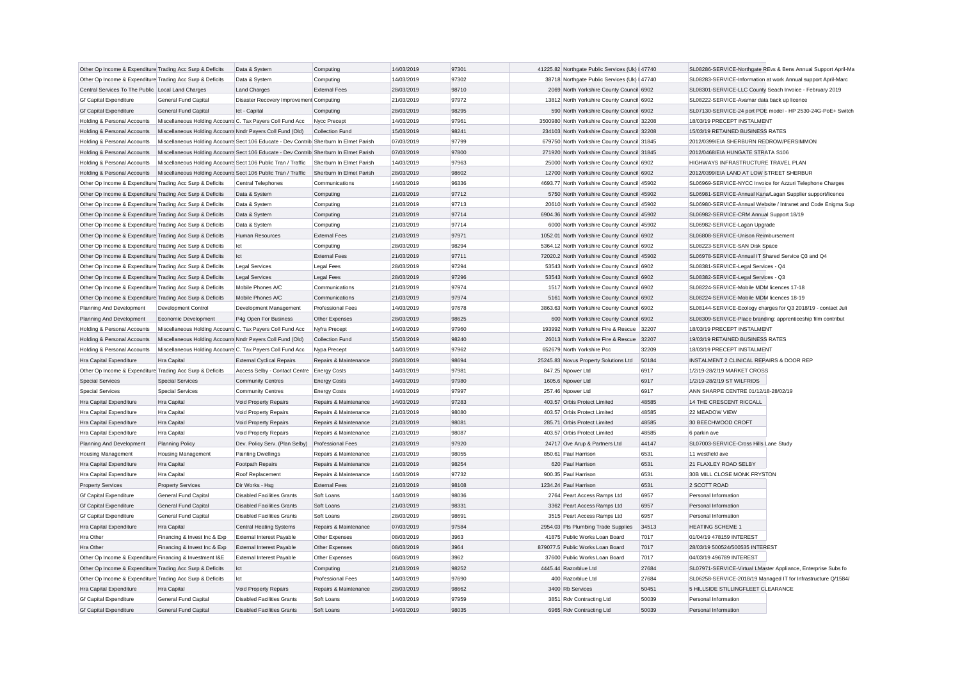| Other Op Income & Expenditure Trading Acc Surp & Deficits |                                                                                        | Data & System                                                                          | Computing                | 14/03/2019 | 97301          | 41225.82 Northgate Public Services (Uk) I 47740 |                | SL08286-SERVICE-Northgate REvs & Bens Annual Support April-Ma |
|-----------------------------------------------------------|----------------------------------------------------------------------------------------|----------------------------------------------------------------------------------------|--------------------------|------------|----------------|-------------------------------------------------|----------------|---------------------------------------------------------------|
| Other Op Income & Expenditure Trading Acc Surp & Deficits |                                                                                        | Data & System                                                                          | Computing                | 14/03/2019 | 97302          | 38718 Northgate Public Services (Uk) I 47740    |                | SL08283-SERVICE-Information at work Annual support April-Marc |
| Central Services To The Public Local Land Charges         |                                                                                        | <b>Land Charges</b>                                                                    | <b>External Fees</b>     | 28/03/2019 | 98710          | 2069 North Yorkshire County Council 6902        |                | SL08301-SERVICE-LLC County Seach Invoice - February 2019      |
| <b>Gf Capital Expenditure</b>                             | <b>General Fund Capital</b>                                                            | Disaster Recovery Improvement Computing                                                |                          | 21/03/2019 | 97972          | 13812 North Yorkshire County Council 6902       |                | SL08222-SERVICE-Avamar data back up licence                   |
| <b>Gf Capital Expenditure</b>                             | <b>General Fund Capital</b>                                                            | Ict - Capital                                                                          | Computing                | 28/03/2019 | 98295          | 590 North Yorkshire County Council 6902         |                | SL07130-SERVICE-24 port POE model - HP 2530-24G-PoE+ Switch   |
| Holding & Personal Accounts                               | Miscellaneous Holding Accounts C. Tax Payers Coll Fund Acc                             |                                                                                        | Nycc Precept             | 14/03/2019 | 97961          | 3500980 North Yorkshire County Council 32208    |                | 18/03/19 PRECEPT INSTALMENT                                   |
| Holding & Personal Accounts                               | Miscellaneous Holding Accounts Nndr Payers Coll Fund (Old)                             |                                                                                        | <b>Collection Fund</b>   | 15/03/2019 | 98241          | 234103 North Yorkshire County Council 32208     |                | 15/03/19 RETAINED BUSINESS RATES                              |
| Holding & Personal Accounts                               | Miscellaneous Holding Accounts Sect 106 Educate - Dev Contrib Sherburn In Elmet Parish |                                                                                        |                          | 07/03/2019 | 97799          | 679750 North Yorkshire County Council 31845     |                | 2012/0399/EIA SHERBURN REDROW/PERSIMMON                       |
| Holding & Personal Accounts                               |                                                                                        | Miscellaneous Holding Accounts Sect 106 Educate - Dev Contrib Sherburn In Elmet Parish |                          | 07/03/2019 | 97800          | 271920 North Yorkshire County Council 31845     |                | 2012/0468/EIA HUNGATE STRATA S106                             |
| Holding & Personal Accounts                               | Miscellaneous Holding Accounts Sect 106 Public Tran / Traffic                          |                                                                                        | Sherburn In Elmet Parish | 14/03/2019 | 97963          | 25000 North Yorkshire County Council 6902       |                | HIGHWAYS INFRASTRUCTURE TRAVEL PLAN                           |
| Holding & Personal Accounts                               | Miscellaneous Holding Accounts Sect 106 Public Tran / Traffic                          |                                                                                        | Sherburn In Elmet Parish | 28/03/2019 | 98602          | 12700 North Yorkshire County Council 6902       |                | 2012/0399/EIA LAND AT LOW STREET SHERBUR                      |
| Other Op Income & Expenditure Trading Acc Surp & Deficits |                                                                                        | Central Telephones                                                                     | Communications           | 14/03/2019 | 96336          | 4693.77 North Yorkshire County Council 45902    |                | SL06969-SERVICE-NYCC Invoice for Azzuri Telephone Charges     |
| Other Op Income & Expenditure Trading Acc Surp & Deficits |                                                                                        | Data & System                                                                          | Computing                | 21/03/2019 | 97712          | 5750 North Yorkshire County Council 45902       |                | SL06981-SERVICE-Annual Kana/Lagan Supplier support/licence    |
| Other Op Income & Expenditure Trading Acc Surp & Deficits |                                                                                        | Data & System                                                                          | Computing                | 21/03/2019 | 97713          | 20610 North Yorkshire County Council 45902      |                | SL06980-SERVICE-Annual Website / Intranet and Code Enigma Sup |
| Other Op Income & Expenditure Trading Acc Surp & Deficits |                                                                                        | Data & System                                                                          | Computing                | 21/03/2019 | 97714          | 6904.36 North Yorkshire County Council 45902    |                | SL06982-SERVICE-CRM Annual Support 18/19                      |
| Other Op Income & Expenditure Trading Acc Surp & Deficits |                                                                                        | Data & System                                                                          | Computing                | 21/03/2019 | 97714          | 6000 North Yorkshire County Council 45902       |                | SL06982-SERVICE-Lagan Upgrade                                 |
| Other Op Income & Expenditure Trading Acc Surp & Deficits |                                                                                        | <b>Human Resources</b>                                                                 | <b>External Fees</b>     | 21/03/2019 | 97971          | 1052.01 North Yorkshire County Council 6902     |                | SL06808-SERVICE-Unison Reimbursement                          |
| Other Op Income & Expenditure Trading Acc Surp & Deficits |                                                                                        | Ict                                                                                    | Computing                | 28/03/2019 | 98294          | 5364.12 North Yorkshire County Council 6902     |                | SL08223-SERVICE-SAN Disk Space                                |
| Other Op Income & Expenditure Trading Acc Surp & Deficits |                                                                                        | Ict                                                                                    | <b>External Fees</b>     | 21/03/2019 | 97711          | 72020.2 North Yorkshire County Council 45902    |                | SL06978-SERVICE-Annual IT Shared Service Q3 and Q4            |
| Other Op Income & Expenditure Trading Acc Surp & Deficits |                                                                                        | <b>Legal Services</b>                                                                  | <b>Legal Fees</b>        | 28/03/2019 | 97294          | 53543 North Yorkshire County Council 6902       |                | SL08381-SERVICE-Legal Services - Q4                           |
| Other Op Income & Expenditure Trading Acc Surp & Deficits |                                                                                        | <b>Legal Services</b>                                                                  | <b>Legal Fees</b>        | 28/03/2019 | 97296          | 53543 North Yorkshire County Council 6902       |                | SL08382-SERVICE-Legal Services - Q3                           |
| Other Op Income & Expenditure Trading Acc Surp & Deficits |                                                                                        | Mobile Phones A/C                                                                      | Communications           | 21/03/2019 | 97974          | 1517 North Yorkshire County Council 6902        |                | SL08224-SERVICE-Mobile MDM licences 17-18                     |
| Other Op Income & Expenditure Trading Acc Surp & Deficits |                                                                                        | Mobile Phones A/C                                                                      | Communications           | 21/03/2019 | 97974          | 5161 North Yorkshire County Council 6902        |                | SL08224-SERVICE-Mobile MDM licences 18-19                     |
| Planning And Development                                  | <b>Development Control</b>                                                             | Development Management                                                                 | <b>Professional Fees</b> | 14/03/2019 | 97678          | 3863.63 North Yorkshire County Council 6902     |                | SL08144-SERVICE-Ecology charges for Q3 2018/19 - contact Juli |
| Planning And Development                                  | Economic Development                                                                   | P4g Open For Business                                                                  | Other Expenses           | 28/03/2019 | 98625          | 600 North Yorkshire County Council 6902         |                | SL08309-SERVICE-Place branding: apprenticeship film contribut |
| Holding & Personal Accounts                               | Miscellaneous Holding Accounts C. Tax Payers Coll Fund Acc                             |                                                                                        | Nyfra Precept            | 14/03/2019 | 97960          | 193992 North Yorkshire Fire & Rescue            | 32207          | 18/03/19 PRECEPT INSTALMENT                                   |
| Holding & Personal Accounts                               | Miscellaneous Holding Accounts Nndr Payers Coll Fund (Old)                             |                                                                                        | Collection Fund          | 15/03/2019 | 98240          | 26013 North Yorkshire Fire & Rescue 32207       |                | 19/03/19 RETAINED BUSINESS RATES                              |
| Holding & Personal Accounts                               | Miscellaneous Holding Accounts C. Tax Payers Coll Fund Acc                             |                                                                                        | Nypa Precept             | 14/03/2019 | 97962          | 652679 North Yorkshire Pcc                      | 32209          | 18/03/19 PRECEPT INSTALMENT                                   |
| Hra Capital Expenditure                                   | Hra Capital                                                                            | <b>External Cyclical Repairs</b>                                                       | Repairs & Maintenance    | 28/03/2019 | 98694          | 25245.83 Novus Property Solutions Ltd           | 50184          | INSTALMENT 2 CLINICAL REPAIRS & DOOR REP                      |
| Other Op Income & Expenditure Trading Acc Surp & Deficits |                                                                                        | Access Selby - Contact Centre                                                          | <b>Energy Costs</b>      | 14/03/2019 | 97981          | 847.25 Npower Ltd                               | 6917           | 1/2/19-28/2/19 MARKET CROSS                                   |
| <b>Special Services</b>                                   | <b>Special Services</b>                                                                | <b>Community Centres</b>                                                               | <b>Energy Costs</b>      | 14/03/2019 | 97980          | 1605.6 Npower Ltd                               | 6917           | 1/2/19-28/2/19 ST WILFRIDS                                    |
| <b>Special Services</b>                                   | <b>Special Services</b>                                                                | <b>Community Centres</b>                                                               | <b>Energy Costs</b>      | 14/03/2019 | 97997          | 257.46 Npower Ltd                               | 6917           | ANN SHARPE CENTRE 01/12/18-28/02/19                           |
| Hra Capital Expenditure                                   | Hra Capital                                                                            | Void Property Repairs                                                                  | Repairs & Maintenance    | 14/03/2019 | 97283          | 403.57 Orbis Protect Limited                    | 48585          | 14 THE CRESCENT RICCALL                                       |
| Hra Capital Expenditure                                   | Hra Capital                                                                            |                                                                                        | Repairs & Maintenance    | 21/03/2019 | 98080          | 403.57 Orbis Protect Limited                    | 48585          | 22 MEADOW VIEW                                                |
|                                                           |                                                                                        | Void Property Repairs                                                                  |                          |            |                | 285.71 Orbis Protect Limited                    |                |                                                               |
| Hra Capital Expenditure                                   | Hra Capital                                                                            | Void Property Repairs                                                                  | Repairs & Maintenance    | 21/03/2019 | 98081<br>98087 | 403.57 Orbis Protect Limited                    | 48585<br>48585 | 30 BEECHWOOD CROFT                                            |
| Hra Capital Expenditure                                   | Hra Capital                                                                            | Void Property Repairs                                                                  | Repairs & Maintenance    | 21/03/2019 |                |                                                 |                | 6 parkin ave                                                  |
| Planning And Development                                  | <b>Planning Policy</b>                                                                 | Dev. Policy Serv. (Plan Selby)                                                         | <b>Professional Fees</b> | 21/03/2019 | 97920          | 24717 Ove Arup & Partners Ltd                   | 44147          | SL07003-SERVICE-Cross Hills Lane Study                        |
| <b>Housing Management</b>                                 | <b>Housing Management</b>                                                              | <b>Painting Dwellings</b>                                                              | Repairs & Maintenance    | 21/03/2019 | 98055          | 850.61 Paul Harrison                            | 6531           | 11 westfield ave                                              |
| Hra Capital Expenditure                                   | Hra Capital                                                                            | Footpath Repairs                                                                       | Repairs & Maintenance    | 21/03/2019 | 98254          | 620 Paul Harrison                               | 6531           | 21 FLAXLEY ROAD SELBY                                         |
| Hra Capital Expenditure                                   | Hra Capital                                                                            | Roof Replacement                                                                       | Repairs & Maintenance    | 14/03/2019 | 97732          | 900.35 Paul Harrison                            | 6531           | 30B MILL CLOSE MONK FRYSTON                                   |
| <b>Property Services</b>                                  | <b>Property Services</b>                                                               | Dir Works - Hsg                                                                        | <b>External Fees</b>     | 21/03/2019 | 98108          | 1234.24 Paul Harrison                           | 6531           | 2 SCOTT ROAD                                                  |
| <b>Gf Capital Expenditure</b>                             | <b>General Fund Capital</b>                                                            | <b>Disabled Facilities Grants</b>                                                      | Soft Loans               | 14/03/2019 | 98036          | 2764 Peart Access Ramps Ltd                     | 6957           | Personal Information                                          |
| <b>Gf Capital Expenditure</b>                             | <b>General Fund Capital</b>                                                            | <b>Disabled Facilities Grants</b>                                                      | Soft Loans               | 21/03/2019 | 98331          | 3362 Peart Access Ramps Ltd                     | 6957           | Personal Information                                          |
| <b>Gf Capital Expenditure</b>                             | General Fund Capital                                                                   | <b>Disabled Facilities Grants</b>                                                      | Soft Loans               | 28/03/2019 | 98691          | 3515 Peart Access Ramps Ltd                     | 6957           | Personal Information                                          |
| Hra Capital Expenditure                                   | Hra Capital                                                                            | <b>Central Heating Systems</b>                                                         | Repairs & Maintenance    | 07/03/2019 | 97584          | 2954.03 Pts Plumbing Trade Supplies             | 34513          | <b>HEATING SCHEME 1</b>                                       |
| Hra Other                                                 | Financing & Invest Inc & Exp                                                           | <b>External Interest Payable</b>                                                       | Other Expenses           | 08/03/2019 | 3963           | 41875 Public Works Loan Board                   | 7017           | 01/04/19 478159 INTEREST                                      |
| Hra Other                                                 | Financing & Invest Inc & Exp                                                           | <b>External Interest Payable</b>                                                       | Other Expenses           | 08/03/2019 | 3964           | 879077.5 Public Works Loan Board                | 7017           | 28/03/19 500524/500535 INTEREST                               |
| Other Op Income & Expenditure Financing & Investment I&E  |                                                                                        | <b>External Interest Payable</b>                                                       | Other Expenses           | 08/03/2019 | 3962           | 37600 Public Works Loan Board                   | 7017           | 04/03/19 496789 INTEREST                                      |
| Other Op Income & Expenditure Trading Acc Surp & Deficits |                                                                                        | Ict                                                                                    | Computing                | 21/03/2019 | 98252          | 4445.44 Razorblue Ltd                           | 27684          | SL07971-SERVICE-Virtual LMaster Appliance, Enterprise Subs fo |
| Other Op Income & Expenditure Trading Acc Surp & Deficits |                                                                                        | Ict                                                                                    | <b>Professional Fees</b> | 14/03/2019 | 97690          | 400 Razorblue Ltd                               | 27684          | SL06258-SERVICE-2018/19 Managed IT for Infrastructure Q/1584/ |
| Hra Capital Expenditure                                   | Hra Capital                                                                            | Void Property Repairs                                                                  | Repairs & Maintenance    | 28/03/2019 | 98662          | 3400 Rb Services                                | 50451          | 5 HILLSIDE STILLINGFLEET CLEARANCE                            |
| <b>Gf Capital Expenditure</b>                             | <b>General Fund Capital</b>                                                            | <b>Disabled Facilities Grants</b>                                                      | Soft Loans               | 14/03/2019 | 97959          | 3851 Rdv Contracting Ltd                        | 50039          | Personal Information                                          |
| <b>Gf Capital Expenditure</b>                             | <b>General Fund Capital</b>                                                            | <b>Disabled Facilities Grants</b>                                                      | Soft Loans               | 14/03/2019 | 98035          | 6965 Rdy Contracting Ltd                        | 50039          | Personal Information                                          |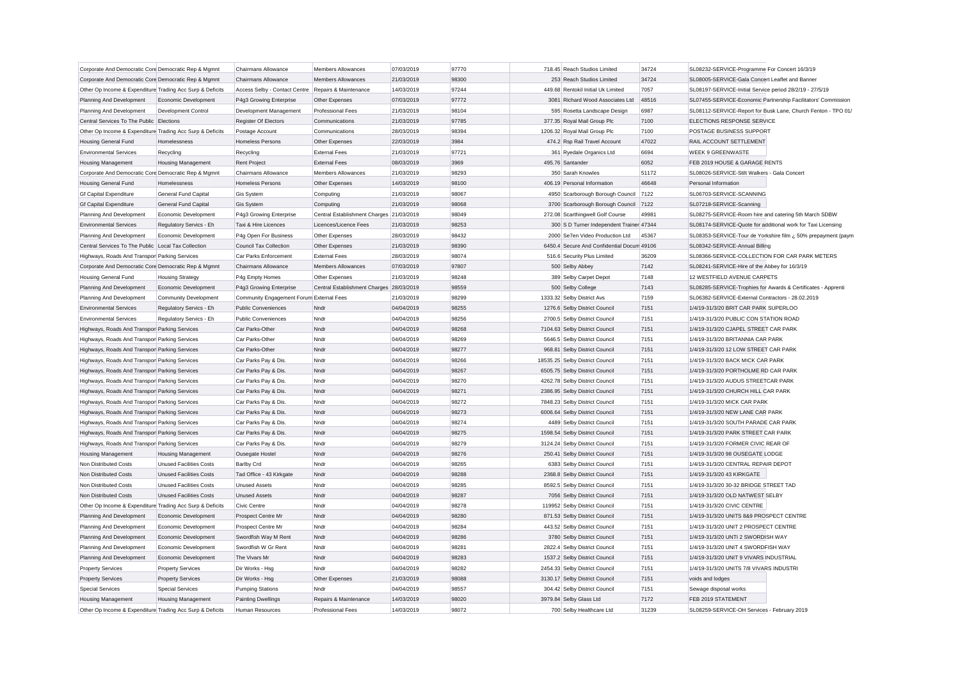| Corporate And Democratic Core Democratic Rep & Mgmnt      |                                | Chairmans Allowance                      | Members Allowances                       | 07/03/2019 | 97770 | 718.45 Reach Studios Limited               | 34724 | SL08232-SERVICE-Programme For Concert 16/3/19                 |
|-----------------------------------------------------------|--------------------------------|------------------------------------------|------------------------------------------|------------|-------|--------------------------------------------|-------|---------------------------------------------------------------|
| Corporate And Democratic Core Democratic Rep & Mgmnt      |                                | Chairmans Allowance                      | <b>Members Allowances</b>                | 21/03/2019 | 98300 | 253 Reach Studios Limited                  | 34724 | SL08005-SERVICE-Gala Concert Leaflet and Banner               |
| Other Op Income & Expenditure Trading Acc Surp & Deficits |                                | Access Selby - Contact Centre            | Repairs & Maintenance                    | 14/03/2019 | 97244 | 449.68 Rentokil Initial Uk Limited         | 7057  | SL08197-SERVICE-Initial Service period 28/2/19 - 27/5/19      |
| Planning And Development                                  | Economic Development           | P4g3 Growing Enterprise                  | Other Expenses                           | 07/03/2019 | 97772 | 3081 Richard Wood Associates Ltd           | 48516 | SL07455-SERVICE-Economic Partnership Facilitators' Commission |
| Planning And Development                                  | Development Control            | Development Management                   | Professional Fees                        | 21/03/2019 | 98104 | 595 Rosetta Landscape Design               | 6987  | SL08112-SERVICE-Report for Busk Lane, Church Fenton - TPO 01/ |
| Central Services To The Public Elections                  |                                | <b>Register Of Electors</b>              | Communications                           | 21/03/2019 | 97785 | 377.35 Royal Mail Group Plc                | 7100  | ELECTIONS RESPONSE SERVICE                                    |
| Other Op Income & Expenditure Trading Acc Surp & Deficits |                                | Postage Account                          | Communications                           | 28/03/2019 | 98394 | 1206.32 Royal Mail Group Plc               | 7100  | POSTAGE BUSINESS SUPPORT                                      |
| Housing General Fund                                      | Homelessness                   | Homeless Persons                         | Other Expenses                           | 22/03/2019 | 3984  | 474.2 Rsp Rail Travel Account              | 47022 | RAIL ACCOUNT SETTLEMENT                                       |
| <b>Environmental Services</b>                             | Recycling                      | Recycling                                | <b>External Fees</b>                     | 21/03/2019 | 97721 | 361 Ryedale Organics Ltd                   | 6694  | <b>WEEK 9 GREENWASTE</b>                                      |
| <b>Housing Management</b>                                 | <b>Housing Management</b>      | <b>Rent Project</b>                      | <b>External Fees</b>                     | 08/03/2019 | 3969  | 495.76 Santander                           | 6052  | FEB 2019 HOUSE & GARAGE RENTS                                 |
| Corporate And Democratic Core Democratic Rep & Mgmnt      |                                | Chairmans Allowance                      | <b>Members Allowances</b>                | 21/03/2019 | 98293 | 350 Sarah Knowles                          | 51172 | SL08026-SERVICE-Stilt Walkers - Gala Concert                  |
| <b>Housing General Fund</b>                               | Homelessness                   | <b>Homeless Persons</b>                  | Other Expenses                           | 14/03/2019 | 98100 | 406.19 Personal Information                | 46648 | Personal Information                                          |
| <b>Gf Capital Expenditure</b>                             | General Fund Capital           | Gis System                               | Computing                                | 21/03/2019 | 98067 | 4950 Scarborough Borough Council 7122      |       | SL06703-SERVICE-SCANNING                                      |
| <b>Gf Capital Expenditure</b>                             | General Fund Capital           | <b>Gis System</b>                        | Computing                                | 21/03/2019 | 98068 | 3700 Scarborough Borough Council 7122      |       | SL07218-SERVICE-Scanning                                      |
| Planning And Development                                  | Economic Development           | P4g3 Growing Enterprise                  | Central Establishment Charges 21/03/2019 |            | 98049 | 272.08 Scarthingwell Golf Course           | 49981 | SL08275-SERVICE-Room hire and catering 5th March SDBW         |
| <b>Environmental Services</b>                             | Regulatory Servics - Eh        | Taxi & Hire Licences                     | Licences/Licence Fees                    | 21/03/2019 | 98253 | 300 S D Turner Independent Trainer 47344   |       | SL08174-SERVICE-Quote for additional work for Taxi Licensing  |
| Planning And Development                                  | Economic Development           | P4g Open For Business                    | Other Expenses                           | 28/03/2019 | 98432 | 2000 Se7en Video Production Ltd            | 45367 | SL08353-SERVICE-Tour de Yorkshire film ¿ 50% prepayment (paym |
| Central Services To The Public Local Tax Collection       |                                | <b>Council Tax Collection</b>            | Other Expenses                           | 21/03/2019 | 98390 | 6450.4 Secure And Confidential Docum 49106 |       | SL08342-SERVICE-Annual Billing                                |
| Highways, Roads And Transpor Parking Services             |                                | Car Parks Enforcement                    | <b>External Fees</b>                     | 28/03/2019 | 98074 | 516.6 Security Plus Limited                | 36209 | SL08366-SERVICE-COLLECTION FOR CAR PARK METERS                |
| Corporate And Democratic Core Democratic Rep & Mgmnt      |                                | Chairmans Allowance                      | <b>Members Allowances</b>                | 07/03/2019 | 97807 | 500 Selby Abbey                            | 7142  | SL08241-SERVICE-Hire of the Abbey for 16/3/19                 |
| Housing General Fund                                      | <b>Housing Strategy</b>        | P4g Empty Homes                          | Other Expenses                           | 21/03/2019 | 98248 | 389 Selby Carpet Depot                     | 7148  | 12 WESTFIELD AVENUE CARPETS                                   |
| Planning And Development                                  | Economic Development           | P4g3 Growing Enterprise                  | Central Establishment Charges 28/03/2019 |            | 98559 | 500 Selby College                          | 7143  | SL08285-SERVICE-Trophies for Awards & Certificates - Apprenti |
| Planning And Development                                  | <b>Community Development</b>   | Community Engagement Forum External Fees |                                          | 21/03/2019 | 98299 | 1333.32 Selby District Avs                 | 7159  | SL06382-SERVICE-External Contractors - 28.02.2019             |
| <b>Environmental Services</b>                             | Regulatory Servics - Eh        | <b>Public Conveniences</b>               | Nndr                                     | 04/04/2019 | 98255 | 1276.6 Selby District Council              | 7151  | 1/4/19-31/3/20 BRIT CAR PARK SUPERLOO                         |
| <b>Environmental Services</b>                             | Regulatory Servics - Eh        | <b>Public Conveniences</b>               | Nndr                                     | 04/04/2019 | 98256 | 2700.5 Selby District Council              | 7151  | 1/4/19-31/3/20 PUBLIC CON STATION ROAD                        |
| Highways, Roads And Transpor Parking Services             |                                | Car Parks-Other                          | Nndr                                     | 04/04/2019 | 98268 | 7104.63 Selby District Council             | 7151  | 1/4/19-31/3/20 CJAPEL STREET CAR PARK                         |
| Highways, Roads And Transpor Parking Services             |                                | Car Parks-Other                          | Nndr                                     | 04/04/2019 | 98269 | 5646.5 Selby District Council              | 7151  | 1/4/19-31/3/20 BRITANNIA CAR PARK                             |
| Highways, Roads And Transpor Parking Services             |                                | Car Parks-Other                          | Nndr                                     | 04/04/2019 | 98277 | 968.81 Selby District Council              | 7151  | 1/4/19-31/3/20 12 LOW STREET CAR PARK                         |
| Highways, Roads And Transpor Parking Services             |                                | Car Parks Pay & Dis.                     | Nndr                                     | 04/04/2019 | 98266 | 18535.25 Selby District Council            | 7151  | 1/4/19-31/3/20 BACK MICK CAR PARK                             |
| Highways, Roads And Transpor Parking Services             |                                | Car Parks Pay & Dis.                     | Nndr                                     | 04/04/2019 | 98267 | 6505.75 Selby District Council             | 7151  | 1/4/19-31/3/20 PORTHOLME RD CAR PARK                          |
| Highways, Roads And Transpor Parking Services             |                                | Car Parks Pay & Dis                      | Nndr                                     | 04/04/2019 | 98270 | 4262.78 Selby District Council             | 7151  | 1/4/19-31/3/20 AUDUS STREETCAR PARK                           |
| Highways, Roads And Transpor Parking Services             |                                | Car Parks Pay & Dis                      | Nndr                                     | 04/04/2019 | 98271 | 2386.95 Selby District Council             | 7151  | 1/4/19-31/3/20 CHURCH HILL CAR PARK                           |
| Highways, Roads And Transpor Parking Services             |                                | Car Parks Pay & Dis.                     | Nndr                                     | 04/04/2019 | 98272 | 7848.23 Selby District Council             | 7151  | 1/4/19-31/3/20 MICK CAR PARK                                  |
| Highways, Roads And Transpor Parking Services             |                                | Car Parks Pay & Dis.                     | Nndr                                     | 04/04/2019 | 98273 | 6006.64 Selby District Council             | 7151  | 1/4/19-31/3/20 NEW LANE CAR PARK                              |
| Highways, Roads And Transpor Parking Services             |                                | Car Parks Pay & Dis.                     | Nndr                                     | 04/04/2019 | 98274 | 4489 Selby District Council                | 7151  | 1/4/19-31/3/20 SOUTH PARADE CAR PARK                          |
| Highways, Roads And Transpor Parking Services             |                                | Car Parks Pay & Dis.                     | Nndr                                     | 04/04/2019 | 98275 | 1598.54 Selby District Council             | 7151  | 1/4/19-31/3/20 PARK STREET CAR PARK                           |
| Highways, Roads And Transpor Parking Services             |                                | Car Parks Pay & Dis.                     | Nndr                                     | 04/04/2019 | 98279 | 3124.24 Selby District Council             | 7151  | 1/4/19-31/3/20 FORMER CIVIC REAR OF                           |
| <b>Housing Management</b>                                 | <b>Housing Management</b>      | Ousegate Hostel                          | Nndr                                     | 04/04/2019 | 98276 | 250.41 Selby District Council              | 7151  | 1/4/19-31/3/20 98 OUSEGATE LODGE                              |
| Non Distributed Costs                                     | Unused Facilities Costs        | <b>Barlby Crd</b>                        | Nndr                                     | 04/04/2019 | 98265 | 6383 Selby District Council                | 7151  | 1/4/19-31/3/20 CENTRAL REPAIR DEPOT                           |
| Non Distributed Costs                                     | <b>Unused Facilities Costs</b> | Tad Office - 43 Kirkgate                 | Nndr                                     | 04/04/2019 | 98288 | 2368.8 Selby District Council              | 7151  | 1/4/19-31/3/20 43 KIRKGATE                                    |
| Non Distributed Costs                                     | <b>Unused Facilities Costs</b> | <b>Unused Assets</b>                     | Nndr                                     | 04/04/2019 | 98285 | 8592.5 Selby District Council              | 7151  | 1/4/19-31/3/20 30-32 BRIDGE STREET TAD                        |
| <b>Non Distributed Costs</b>                              | <b>Unused Facilities Costs</b> | <b>Unused Assets</b>                     | Nndr                                     | 04/04/2019 | 98287 | 7056 Selby District Council                | 7151  | 1/4/19-31/3/20 OLD NATWEST SELBY                              |
| Other Op Income & Expenditure Trading Acc Surp & Deficits |                                | Civic Centre                             | Nndr                                     | 04/04/2019 | 98278 | 119952 Selby District Council              | 7151  | 1/4/19-31/3/20 CIVIC CENTRE                                   |
| Planning And Development                                  | Economic Development           | Prospect Centre Mr                       | Nndr                                     | 04/04/2019 | 98280 | 871.53 Selby District Council              | 7151  | 1/4/19-31/3/20 UNITS 8&9 PROSPECT CENTRE                      |
| Planning And Development                                  | Economic Development           | Prospect Centre Mr                       | Nndr                                     | 04/04/2019 | 98284 | 443.52 Selby District Council              | 7151  | 1/4/19-31/3/20 UNIT 2 PROSPECT CENTRE                         |
| Planning And Development                                  | Economic Development           | Swordfish Way M Rent                     | Nndr                                     | 04/04/2019 | 98286 | 3780 Selby District Council                | 7151  | 1/4/19-31/3/20 UNTI 2 SWORDISH WAY                            |
| Planning And Development                                  | Economic Development           | Swordfish W Gr Rent                      | Nndr                                     | 04/04/2019 | 98281 | 2822.4 Selby District Council              | 7151  | 1/4/19-31/3/20 UNIT 4 SWORDFISH WAY                           |
| Planning And Development                                  | Economic Development           | The Vivars Mr                            | Nndr                                     | 04/04/2019 | 98283 | 1537.2 Selby District Council              | 7151  | 1/4/19-31/3/20 UNIT 9 VIVARS INDUSTRIAL                       |
| <b>Property Services</b>                                  | <b>Property Services</b>       | Dir Works - Hsg                          | Nndr                                     | 04/04/2019 | 98282 | 2454.33 Selby District Council             | 7151  | 1/4/19-31/3/20 UNITS 7/8 VIVARS INDUSTRI                      |
| <b>Property Services</b>                                  | <b>Property Services</b>       | Dir Works - Hsg                          | Other Expenses                           | 21/03/2019 | 98088 | 3130.17 Selby District Council             | 7151  | voids and lodges                                              |
| <b>Special Services</b>                                   | <b>Special Services</b>        | <b>Pumping Stations</b>                  | Nndr                                     | 04/04/2019 | 98557 | 304.42 Selby District Council              | 7151  | Sewage disposal works                                         |
| <b>Housing Management</b>                                 | <b>Housing Management</b>      | <b>Painting Dwellings</b>                | Repairs & Maintenance                    | 14/03/2019 | 98020 | 3979.84 Selby Glass Ltd                    | 7172  | FEB 2019 STATEMENT                                            |
| Other Op Income & Expenditure Trading Acc Surp & Deficits |                                | <b>Human Resources</b>                   | <b>Professional Fees</b>                 | 14/03/2019 | 98072 | 700 Selby Healthcare Ltd                   | 31239 | SL08259-SERVICE-OH Services - February 2019                   |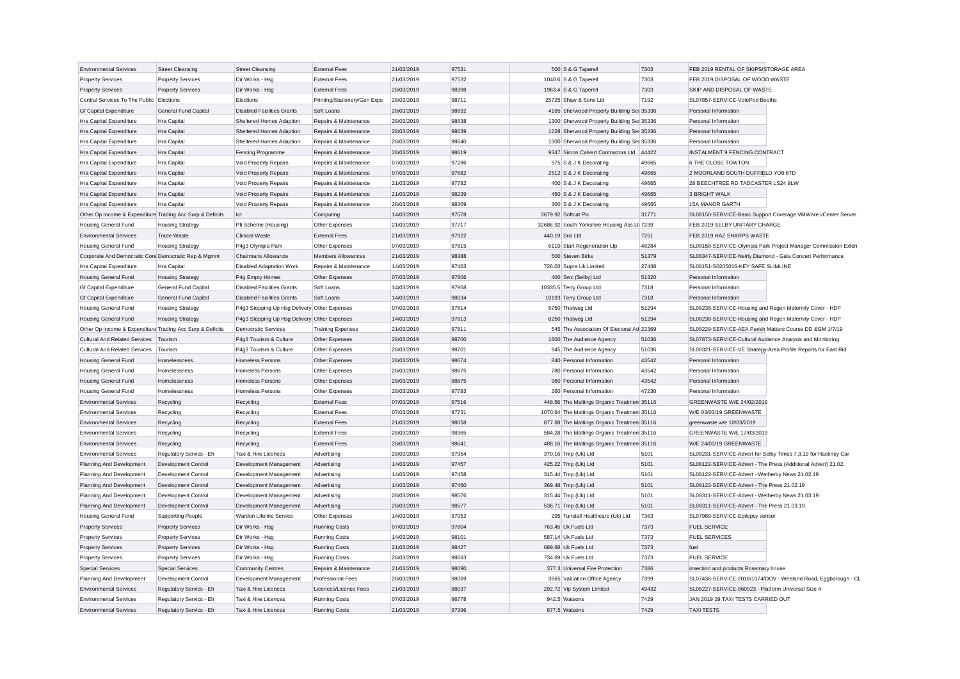| <b>Environmental Services</b>                             | <b>Street Cleansing</b>    | <b>Street Cleansing</b>                      | <b>External Fees</b>         | 21/03/2019 | 97531 |                         | 500 S & G Taperell                           | 7303  | FEB 2019 RENTAL OF SKIPS/STORAGE AREA                         |                                                               |
|-----------------------------------------------------------|----------------------------|----------------------------------------------|------------------------------|------------|-------|-------------------------|----------------------------------------------|-------|---------------------------------------------------------------|---------------------------------------------------------------|
| <b>Property Services</b>                                  | <b>Property Services</b>   | Dir Works - Hsg                              | <b>External Fees</b>         | 21/03/2019 | 97532 | 1040.6 S & G Taperell   |                                              | 7303  | FEB 2019 DISPOSAL OF WOOD WASTE                               |                                                               |
| <b>Property Services</b>                                  | <b>Property Services</b>   | Dir Works - Hsg                              | <b>External Fees</b>         | 28/03/2019 | 98398 | 1963.4 S & G Taperell   |                                              | 7303  | SKIP AND DISPOSAL OF WASTE                                    |                                                               |
| Central Services To The Public Elections                  |                            | Elections                                    | Printing/Stationery/Gen Exps | 28/03/2019 | 98711 |                         | 25725 Shaw & Sons Ltd                        | 7192  | SL07857-SERVICE-VotePod Booths                                |                                                               |
| <b>Gf Capital Expenditure</b>                             | General Fund Capital       | <b>Disabled Facilities Grants</b>            | Soft Loans                   | 28/03/2019 | 98692 |                         | 4165 Sherwood Property Building Ser 35336    |       | Personal Information                                          |                                                               |
| <b>Hra Capital Expenditure</b>                            | Hra Capital                | Sheltered Homes Adaption                     | Repairs & Maintenance        | 28/03/2019 | 98638 |                         | 1300 Sherwood Property Building Ser 35336    |       | Personal Information                                          |                                                               |
| Hra Capital Expenditure                                   | Hra Capital                | Sheltered Homes Adaption                     | Repairs & Maintenance        | 28/03/2019 | 98639 |                         | 1228 Sherwood Property Building Ser 35336    |       | Personal Information                                          |                                                               |
| Hra Capital Expenditure                                   | Hra Capital                | Sheltered Homes Adaption                     | Repairs & Maintenance        | 28/03/2019 | 98640 |                         | 1300 Sherwood Property Building Ser 35336    |       | Personal Information                                          |                                                               |
| Hra Capital Expenditure                                   | Hra Capital                | <b>Fencing Programme</b>                     | Repairs & Maintenance        | 28/03/2019 | 98619 |                         | 9347 Simon Calvert Contractors Ltd 44422     |       | INSTALMENT 9 FENCING CONTRACT                                 |                                                               |
| Hra Capital Expenditure                                   | Hra Capital                | Void Property Repairs                        | Repairs & Maintenance        | 07/03/2019 | 97286 |                         | 975 S & J K Decorating                       | 49665 | 6 THE CLOSE TOWTON                                            |                                                               |
| Hra Capital Expenditure                                   | Hra Capital                | <b>Void Property Repairs</b>                 | Repairs & Maintenance        | 07/03/2019 | 97682 |                         | 2512 S & J K Decorating                      | 49665 | 2 MOORLAND SOUTH DUFFIELD YO8 6TD                             |                                                               |
| Hra Capital Expenditure                                   | Hra Capital                | Void Property Repairs                        | Repairs & Maintenance        | 21/03/2019 | 97782 |                         | 400 S & J K Decorating                       | 49665 | 28 BEECHTREE RD TADCASTER LS24 9LW                            |                                                               |
| Hra Capital Expenditure                                   | Hra Capital                | Void Property Repairs                        | Repairs & Maintenance        | 21/03/2019 | 98239 |                         | 450 S & J K Decorating                       | 49665 | 3 BRIGHT WALK                                                 |                                                               |
| Hra Capital Expenditure                                   | Hra Capital                | Void Property Repairs                        | Repairs & Maintenance        | 28/03/2019 | 98309 |                         | 300 S & J K Decorating                       | 49665 | 15A MANOR GARTH                                               |                                                               |
| Other Op Income & Expenditure Trading Acc Surp & Deficits |                            | Ict                                          | Computing                    | 14/03/2019 | 97578 | 3679.92 Softcat Plc     |                                              | 31771 |                                                               | SL08150-SERVICE-Basic Support Coverage VMWare vCenter Server  |
| <b>Housing General Fund</b>                               | <b>Housing Strategy</b>    | Pfi Scheme (Housing)                         | Other Expenses               | 21/03/2019 | 97717 |                         | 32686.92 South Yorkshire Housing Ass Lt 7239 |       | FEB 2019 SELBY UNITARY CHARGE                                 |                                                               |
| <b>Environmental Services</b>                             | <b>Trade Waste</b>         | <b>Clinical Waste</b>                        | <b>External Fees</b>         | 21/03/2019 | 97922 | 440.19 Srcl Ltd         |                                              | 7251  | FEB 2019 HAZ SHARPS WASTE                                     |                                                               |
| <b>Housing General Fund</b>                               | <b>Housing Strategy</b>    | P4q3 Olympia Park                            | Other Expenses               | 07/03/2019 | 97815 |                         | 6110 Start Regeneration Llp                  | 48284 |                                                               | SL08158-SERVICE-Olympia Park Project Manager Commission Exten |
| Corporate And Democratic Core Democratic Rep & Mgmnt      |                            | Chairmans Allowance                          | <b>Members Allowances</b>    | 21/03/2019 | 98388 |                         | 500 Steven Birks                             | 51379 | SL08347-SERVICE-Neirly Diamond - Gala Concert Performance     |                                                               |
| Hra Capital Expenditure                                   | Hra Capital                | <b>Disabled Adaptation Work</b>              | Repairs & Maintenance        | 14/03/2019 | 97463 |                         | 726.03 Supra Uk Limited                      | 27438 | SL08151-S0205016-KEY SAFE SLIMLINE                            |                                                               |
| <b>Housing General Fund</b>                               | <b>Housing Strategy</b>    | P4g Empty Homes                              | Other Expenses               | 07/03/2019 | 97806 |                         | 400 Swc (Selby) Ltd                          | 51320 | Personal Information                                          |                                                               |
| <b>Gf Capital Expenditure</b>                             | General Fund Capital       | <b>Disabled Facilities Grants</b>            | Soft Loans                   | 14/03/2019 | 97958 | 10335.5 Terry Group Ltd |                                              | 7318  | Personal Information                                          |                                                               |
| <b>Gf Capital Expenditure</b>                             | General Fund Capital       | <b>Disabled Facilities Grants</b>            | Soft Loans                   | 14/03/2019 | 98034 |                         | 10193 Terry Group Ltd                        | 7318  | Personal Information                                          |                                                               |
| <b>Housing General Fund</b>                               | <b>Housing Strategy</b>    | P4g3 Stepping Up Hsg Delivery Other Expenses |                              | 07/03/2019 | 97814 | 5750 Thalweg Ltd        |                                              | 51294 | SL08238-SERVICE-Housing and Regen Maternity Cover - HDP       |                                                               |
| <b>Housing General Fund</b>                               | <b>Housing Strategy</b>    | P4g3 Stepping Up Hsg Delivery Other Expenses |                              | 14/03/2019 | 97813 | 6250 Thalweg Ltd        |                                              | 51294 | SL08238-SERVICE-Housing and Regen Maternity Cover - HDP       |                                                               |
| Other Op Income & Expenditure Trading Acc Surp & Deficits |                            | <b>Democratic Services</b>                   | <b>Training Expenses</b>     | 21/03/2019 | 97811 |                         | 545 The Association Of Electoral Ad 22369    |       | SL08229-SERVICE-AEA Parish Matters Course DD &GM 1/7/19       |                                                               |
| <b>Cultural And Related Services</b>                      | Tourism                    | P4g3 Tourism & Culture                       | Other Expenses               | 28/03/2019 | 98700 |                         | 1800 The Audience Agency                     | 51036 | SL07873-SERVICE-Cultural Audience Analysis and Monitoring     |                                                               |
| <b>Cultural And Related Services</b>                      | Tourism                    | P4g3 Tourism & Culture                       | Other Expenses               | 28/03/2019 | 98701 |                         | 945 The Audience Agency                      | 51036 | SL08321-SERVICE-VE Strategy-Area Profile Reports for East Rid |                                                               |
| <b>Housing General Fund</b>                               | Homelessness               | <b>Homeless Persons</b>                      | Other Expenses               | 28/03/2019 | 98674 |                         | 840 Personal Information                     | 43542 | Personal Information                                          |                                                               |
| <b>Housing General Fund</b>                               | Homelessness               | Homeless Persons                             | Other Expenses               | 28/03/2019 | 98675 |                         | 780 Personal Information                     | 43542 | Personal Information                                          |                                                               |
| Housing General Fund                                      | Homelessness               | <b>Homeless Persons</b>                      | Other Expenses               | 28/03/2019 | 98675 |                         | 960 Personal Information                     | 43542 | Personal Information                                          |                                                               |
| <b>Housing General Fund</b>                               | Homelessness               | <b>Homeless Persons</b>                      | Other Expenses               | 28/03/2019 | 97783 |                         | 260 Personal Information                     | 47230 | Personal Information                                          |                                                               |
| <b>Environmental Services</b>                             | Recycling                  | Recycling                                    | <b>External Fees</b>         | 07/03/2019 | 97516 |                         | 448.56 The Maltings Organic Treatmen 35116   |       | GREENWASTE W/E 24/02/2019                                     |                                                               |
| <b>Environmental Services</b>                             | Recycling                  | Recycling                                    | <b>External Fees</b>         | 07/03/2019 | 97731 |                         | 1070.64 The Maltings Organic Treatmen 35116  |       | W/E 03/03/19 GREENWASTE                                       |                                                               |
| <b>Environmental Services</b>                             | Recycling                  | Recycling                                    | <b>External Fees</b>         | 21/03/2019 | 98058 |                         | 877.68 The Maltings Organic Treatmen 35116   |       | greenwaste w/e 10/03/2019                                     |                                                               |
| <b>Environmental Services</b>                             | Recycling                  | Recycling                                    | <b>External Fees</b>         | 28/03/2019 | 98365 |                         | 584.28 The Maltings Organic Treatmen 35116   |       | GREENWASTE W/E 17/03/2019                                     |                                                               |
| <b>Environmental Services</b>                             | Recycling                  | Recycling                                    | <b>External Fees</b>         | 28/03/2019 | 98641 |                         | 488.16 The Maltings Organic Treatmen 35116   |       | W/E 24/03/19 GREENWASTE                                       |                                                               |
| <b>Environmental Services</b>                             | Regulatory Servics - Eh    | Taxi & Hire Licences                         | Advertising                  | 28/03/2019 | 97954 | 370.16 Tmp (Uk) Ltd     |                                              | 5101  |                                                               | SL08231-SERVICE-Advert for Selby Times 7.3.19 for Hackney Car |
| Planning And Development                                  | Development Control        | Development Management                       | Advertising                  | 14/03/2019 | 97457 | 425.22 Tmp (Uk) Ltd     |                                              | 5101  | SL08122-SERVICE-Advert - The Press (Additional Advert) 21.02. |                                                               |
| Planning And Development                                  | Development Control        | Development Management                       | Advertising                  | 14/03/2019 | 97458 | 315.44 Tmp (Uk) Ltd     |                                              | 5101  | SL08122-SERVICE-Advert - Wetherby News 21.02.19               |                                                               |
| Planning And Development                                  | <b>Development Control</b> | Development Management                       | Advertising                  | 14/03/2019 | 97460 | 369.48 Tmp (Uk) Ltd     |                                              | 5101  | SL08122-SERVICE-Advert - The Press 21.02.19                   |                                                               |
| Planning And Development                                  | Development Control        | Development Management                       | Advertising                  | 28/03/2019 | 98576 | 315.44 Tmp (Uk) Ltd     |                                              | 5101  | SL08311-SERVICE-Advert - Wetherby News 21.03.19               |                                                               |
| Planning And Development                                  | Development Control        | Development Management                       | Advertising                  | 28/03/2019 | 98577 | 536.71 Tmp (Uk) Ltd     |                                              | 5101  | SL08311-SERVICE-Advert - The Press 21.03.19                   |                                                               |
| <b>Housing General Fund</b>                               | <b>Supporting People</b>   | Warden Lifeline Service                      | Other Expenses               | 14/03/2019 | 97052 |                         | 295 Tunstall Healthcare (Uk) Ltd             | 7363  | SL07989-SERVICE-Epilepsy sensor                               |                                                               |
| <b>Property Services</b>                                  | <b>Property Services</b>   | Dir Works - Hsg                              | <b>Running Costs</b>         | 07/03/2019 | 97804 | 763.45 Uk Fuels Ltd     |                                              | 7373  | <b>FUEL SERVICE</b>                                           |                                                               |
| <b>Property Services</b>                                  | <b>Property Services</b>   | Dir Works - Hsg                              | <b>Running Costs</b>         | 14/03/2019 | 98101 | 587.14 Uk Fuels Ltd     |                                              | 7373  | <b>FUEL SERVICES</b>                                          |                                                               |
| <b>Property Services</b>                                  | <b>Property Services</b>   | Dir Works - Hsg                              | <b>Running Costs</b>         | 21/03/2019 | 98427 | 689.68 Uk Fuels Ltd     |                                              | 7373  | fuel                                                          |                                                               |
| <b>Property Services</b>                                  | <b>Property Services</b>   | Dir Works - Hsg                              | <b>Running Costs</b>         | 28/03/2019 | 98663 | 734.69 Uk Fuels Ltd     |                                              | 7373  | <b>FUEL SERVICE</b>                                           |                                                               |
| <b>Special Services</b>                                   | <b>Special Services</b>    | <b>Community Centres</b>                     | Repairs & Maintenance        | 21/03/2019 | 98090 |                         | 377.3 Universal Fire Protection              | 7386  | insection and products Rosemary house                         |                                                               |
| Planning And Development                                  | <b>Development Control</b> | Development Management                       | Professional Fees            | 28/03/2019 | 98069 |                         | 3665 Valuation Office Agency                 | 7399  |                                                               | SL07436-SERVICE-2018/1074/DOV - Weeland Road, Eggborough - CL |
| <b>Environmental Services</b>                             | Regulatory Servics - Eh    | Taxi & Hire Licences                         | Licences/Licence Fees        | 21/03/2019 | 98037 |                         | 292.72 Vip System Limited                    | 49432 | SL08227-SERVICE-060023 - Platform Universal Size 4            |                                                               |
| <b>Environmental Services</b>                             | Regulatory Servics - Eh    | Taxi & Hire Licences                         | <b>Running Costs</b>         | 07/03/2019 | 96778 | 942.5 Watsons           |                                              | 7429  | JAN 2019 29 TAXI TESTS CARRIED OUT                            |                                                               |
| <b>Environmental Services</b>                             | Regulatory Servics - Eh    | Taxi & Hire Licences                         | <b>Running Costs</b>         | 21/03/2019 | 97996 | 877.5 Watsons           |                                              | 7429  | <b>TAXI TESTS</b>                                             |                                                               |
|                                                           |                            |                                              |                              |            |       |                         |                                              |       |                                                               |                                                               |